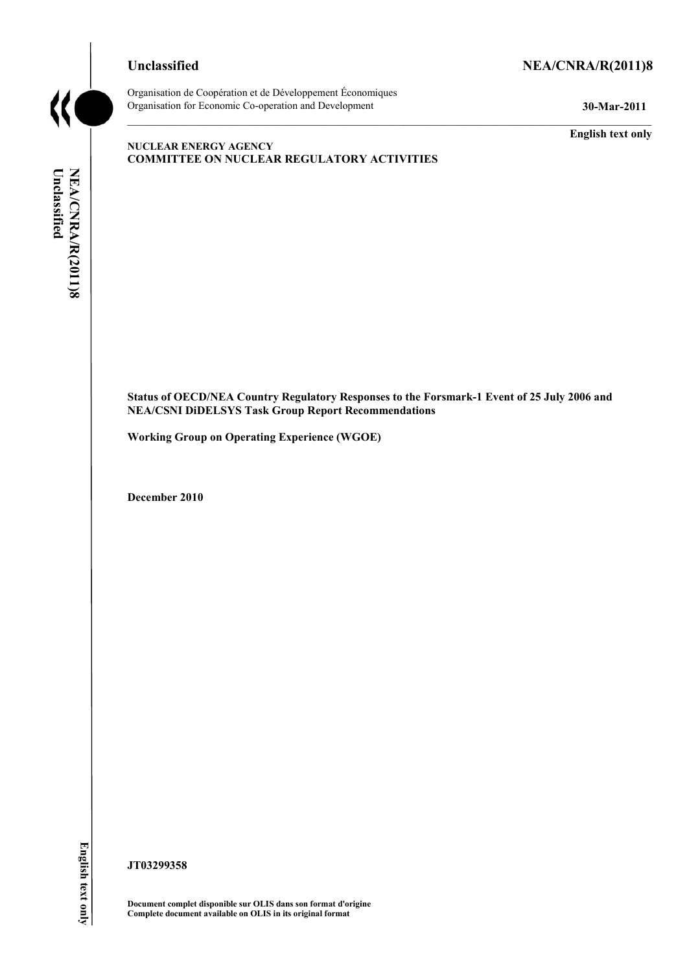# Unclassified NEA/CNRA/R(2011)8



Organisation de Coopération et de Développement Économiques Organisation for Economic Co-operation and Development **30-Mar-2011** 

**English text only** 

# **NUCLEAR ENERGY AGENCY COMMITTEE ON NUCLEAR REGULATORY ACTIVITIES**

**NEA/CNRA/R(2011)8**<br>Unclassified **NEA/CNRA/R(2011)8 English text onlyUnclassified** 

**Status of OECD/NEA Country Regulatory Responses to the Forsmark-1 Event of 25 July 2006 and NEA/CSNI DiDELSYS Task Group Report Recommendations** 

**Working Group on Operating Experience (WGOE)** 

**December 2010** 

English text only

**JT03299358** 

**Document complet disponible sur OLIS dans son format d'origine Complete document available on OLIS in its original format**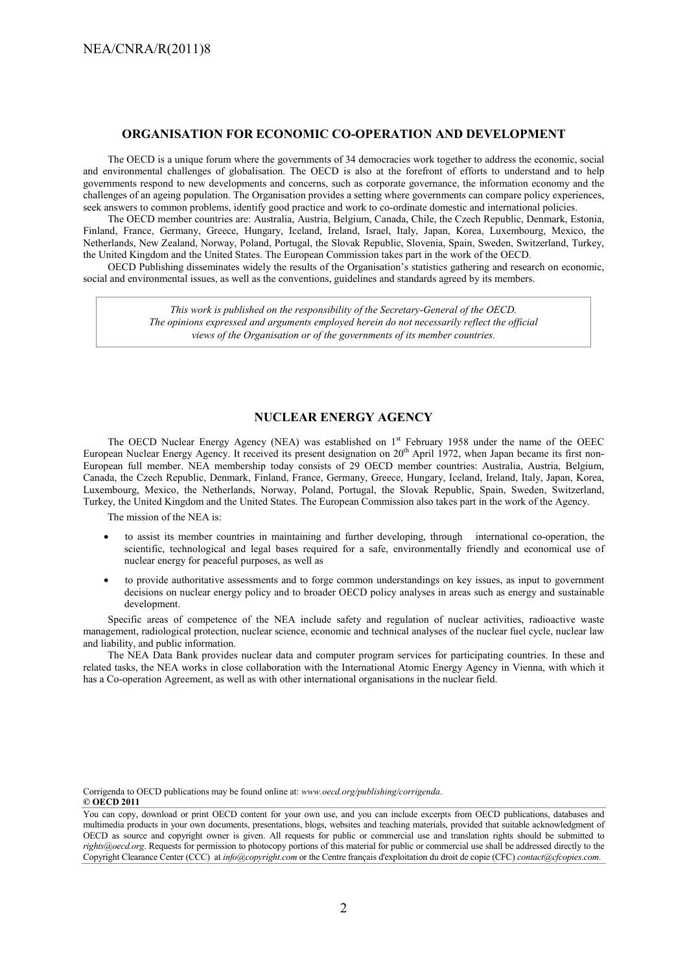#### **ORGANISATION FOR ECONOMIC CO-OPERATION AND DEVELOPMENT**

The OECD is a unique forum where the governments of 34 democracies work together to address the economic, social and environmental challenges of globalisation. The OECD is also at the forefront of efforts to understand and to help governments respond to new developments and concerns, such as corporate governance, the information economy and the challenges of an ageing population. The Organisation provides a setting where governments can compare policy experiences, seek answers to common problems, identify good practice and work to co-ordinate domestic and international policies.

The OECD member countries are: Australia, Austria, Belgium, Canada, Chile, the Czech Republic, Denmark, Estonia, Finland, France, Germany, Greece, Hungary, Iceland, Ireland, Israel, Italy, Japan, Korea, Luxembourg, Mexico, the Netherlands, New Zealand, Norway, Poland, Portugal, the Slovak Republic, Slovenia, Spain, Sweden, Switzerland, Turkey, the United Kingdom and the United States. The European Commission takes part in the work of the OECD.

OECD Publishing disseminates widely the results of the Organisation's statistics gathering and research on economic, social and environmental issues, as well as the conventions, guidelines and standards agreed by its members.

> *This work is published on the responsibility of the Secretary-General of the OECD. The opinions expressed and arguments employed herein do not necessarily reflect the official views of the Organisation or of the governments of its member countries.*

#### **NUCLEAR ENERGY AGENCY**

The OECD Nuclear Energy Agency (NEA) was established on 1<sup>st</sup> February 1958 under the name of the OEEC European Nuclear Energy Agency. It received its present designation on 20<sup>th</sup> April 1972, when Japan became its first non-European full member. NEA membership today consists of 29 OECD member countries: Australia, Austria, Belgium, Canada, the Czech Republic, Denmark, Finland, France, Germany, Greece, Hungary, Iceland, Ireland, Italy, Japan, Korea, Luxembourg, Mexico, the Netherlands, Norway, Poland, Portugal, the Slovak Republic, Spain, Sweden, Switzerland, Turkey, the United Kingdom and the United States. The European Commission also takes part in the work of the Agency.

The mission of the NEA is:

- to assist its member countries in maintaining and further developing, through international co-operation, the scientific, technological and legal bases required for a safe, environmentally friendly and economical use of nuclear energy for peaceful purposes, as well as
- to provide authoritative assessments and to forge common understandings on key issues, as input to government decisions on nuclear energy policy and to broader OECD policy analyses in areas such as energy and sustainable development.

Specific areas of competence of the NEA include safety and regulation of nuclear activities, radioactive waste management, radiological protection, nuclear science, economic and technical analyses of the nuclear fuel cycle, nuclear law and liability, and public information.

The NEA Data Bank provides nuclear data and computer program services for participating countries. In these and related tasks, the NEA works in close collaboration with the International Atomic Energy Agency in Vienna, with which it has a Co-operation Agreement, as well as with other international organisations in the nuclear field.

Corrigenda to OECD publications may be found online at: *www.oecd.org/publishing/corrigenda*. **© OECD 2011** 

You can copy, download or print OECD content for your own use, and you can include excerpts from OECD publications, databases and multimedia products in your own documents, presentations, blogs, websites and teaching materials, provided that suitable acknowledgment of OECD as source and copyright owner is given. All requests for public or commercial use and translation rights should be submitted to *rights@oecd.org*. Requests for permission to photocopy portions of this material for public or commercial use shall be addressed directly to the Copyright Clearance Center (CCC) at *info@copyright.com* or the Centre français d'exploitation du droit de copie (CFC) *contact@cfcopies.com*.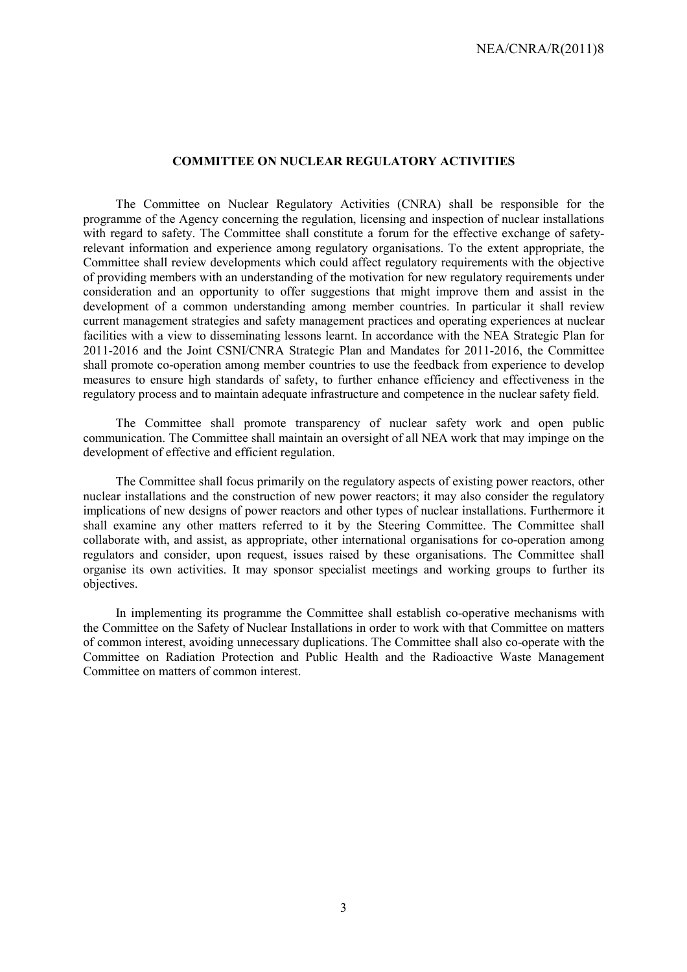#### **COMMITTEE ON NUCLEAR REGULATORY ACTIVITIES**

 The Committee on Nuclear Regulatory Activities (CNRA) shall be responsible for the programme of the Agency concerning the regulation, licensing and inspection of nuclear installations with regard to safety. The Committee shall constitute a forum for the effective exchange of safetyrelevant information and experience among regulatory organisations. To the extent appropriate, the Committee shall review developments which could affect regulatory requirements with the objective of providing members with an understanding of the motivation for new regulatory requirements under consideration and an opportunity to offer suggestions that might improve them and assist in the development of a common understanding among member countries. In particular it shall review current management strategies and safety management practices and operating experiences at nuclear facilities with a view to disseminating lessons learnt. In accordance with the NEA Strategic Plan for 2011-2016 and the Joint CSNI/CNRA Strategic Plan and Mandates for 2011-2016, the Committee shall promote co-operation among member countries to use the feedback from experience to develop measures to ensure high standards of safety, to further enhance efficiency and effectiveness in the regulatory process and to maintain adequate infrastructure and competence in the nuclear safety field.

 The Committee shall promote transparency of nuclear safety work and open public communication. The Committee shall maintain an oversight of all NEA work that may impinge on the development of effective and efficient regulation.

The Committee shall focus primarily on the regulatory aspects of existing power reactors, other nuclear installations and the construction of new power reactors; it may also consider the regulatory implications of new designs of power reactors and other types of nuclear installations. Furthermore it shall examine any other matters referred to it by the Steering Committee. The Committee shall collaborate with, and assist, as appropriate, other international organisations for co-operation among regulators and consider, upon request, issues raised by these organisations. The Committee shall organise its own activities. It may sponsor specialist meetings and working groups to further its objectives.

In implementing its programme the Committee shall establish co-operative mechanisms with the Committee on the Safety of Nuclear Installations in order to work with that Committee on matters of common interest, avoiding unnecessary duplications. The Committee shall also co-operate with the Committee on Radiation Protection and Public Health and the Radioactive Waste Management Committee on matters of common interest.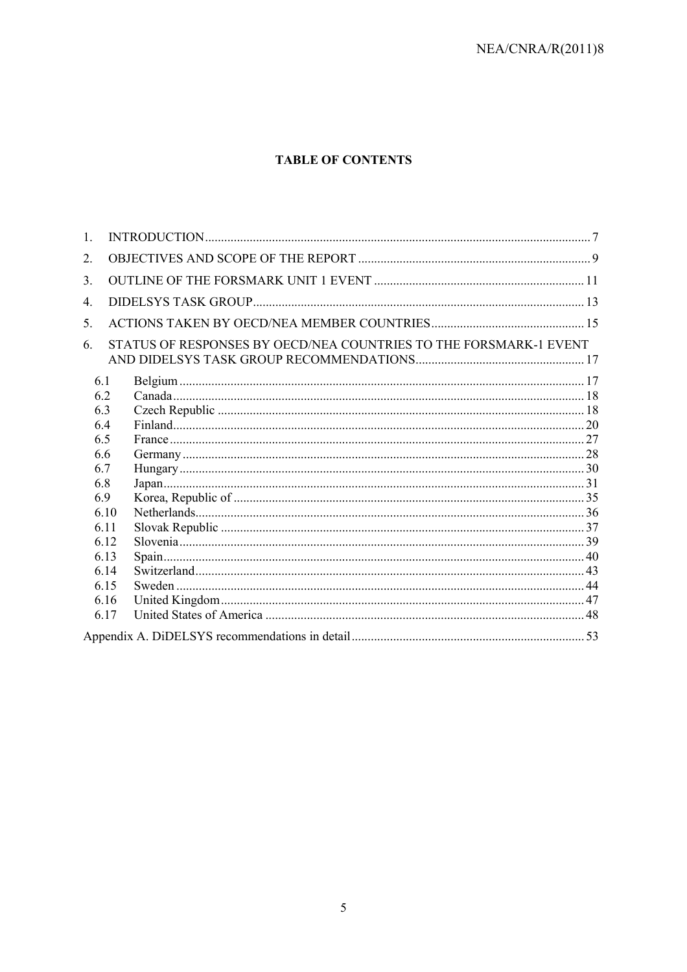# **TABLE OF CONTENTS**

| $\mathbf{1}$ |                                                                   |  |
|--------------|-------------------------------------------------------------------|--|
| 2.           |                                                                   |  |
| 3.           |                                                                   |  |
| 4.           |                                                                   |  |
| 5.           |                                                                   |  |
| 6.           | STATUS OF RESPONSES BY OECD/NEA COUNTRIES TO THE FORSMARK-1 EVENT |  |
| 6.1          |                                                                   |  |
| 6.2          |                                                                   |  |
| 6.3          |                                                                   |  |
| 6.4          |                                                                   |  |
| 6.5          |                                                                   |  |
| 6.6          |                                                                   |  |
| 6.7          |                                                                   |  |
| 6.8          |                                                                   |  |
| 6.9          |                                                                   |  |
| 6.10         |                                                                   |  |
| 6.11         |                                                                   |  |
| 6.12         |                                                                   |  |
| 6.13         |                                                                   |  |
| 6.14         |                                                                   |  |
| 6.15         |                                                                   |  |
| 6.16         |                                                                   |  |
| 6.17         |                                                                   |  |
|              |                                                                   |  |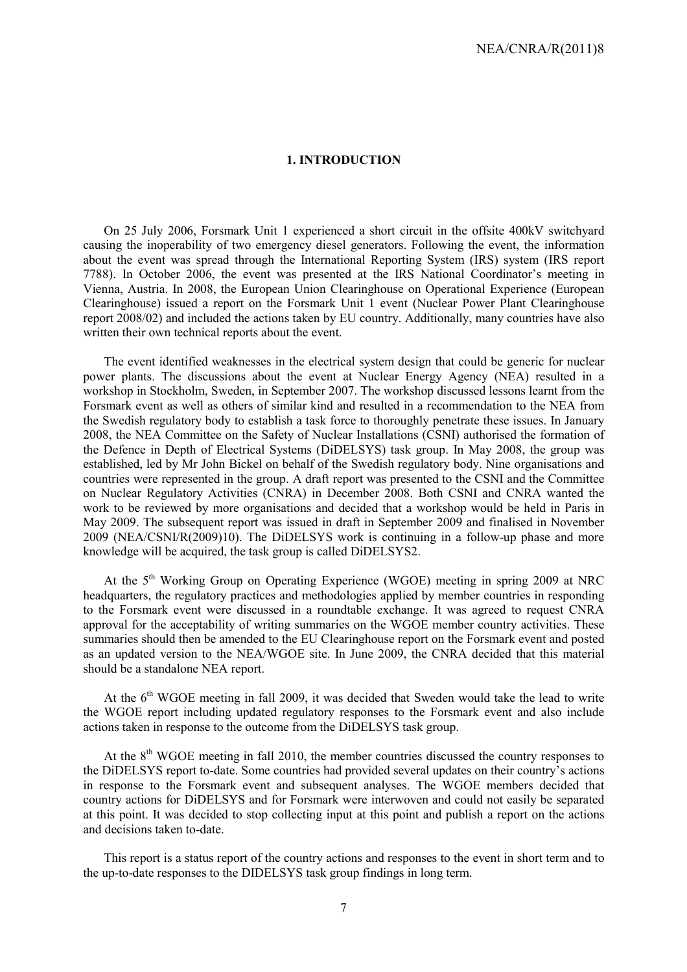#### **1. INTRODUCTION**

On 25 July 2006, Forsmark Unit 1 experienced a short circuit in the offsite 400kV switchyard causing the inoperability of two emergency diesel generators. Following the event, the information about the event was spread through the International Reporting System (IRS) system (IRS report 7788). In October 2006, the event was presented at the IRS National Coordinator's meeting in Vienna, Austria. In 2008, the European Union Clearinghouse on Operational Experience (European Clearinghouse) issued a report on the Forsmark Unit 1 event (Nuclear Power Plant Clearinghouse report 2008/02) and included the actions taken by EU country. Additionally, many countries have also written their own technical reports about the event.

The event identified weaknesses in the electrical system design that could be generic for nuclear power plants. The discussions about the event at Nuclear Energy Agency (NEA) resulted in a workshop in Stockholm, Sweden, in September 2007. The workshop discussed lessons learnt from the Forsmark event as well as others of similar kind and resulted in a recommendation to the NEA from the Swedish regulatory body to establish a task force to thoroughly penetrate these issues. In January 2008, the NEA Committee on the Safety of Nuclear Installations (CSNI) authorised the formation of the Defence in Depth of Electrical Systems (DiDELSYS) task group. In May 2008, the group was established, led by Mr John Bickel on behalf of the Swedish regulatory body. Nine organisations and countries were represented in the group. A draft report was presented to the CSNI and the Committee on Nuclear Regulatory Activities (CNRA) in December 2008. Both CSNI and CNRA wanted the work to be reviewed by more organisations and decided that a workshop would be held in Paris in May 2009. The subsequent report was issued in draft in September 2009 and finalised in November 2009 (NEA/CSNI/R(2009)10). The DiDELSYS work is continuing in a follow-up phase and more knowledge will be acquired, the task group is called DiDELSYS2.

At the 5<sup>th</sup> Working Group on Operating Experience (WGOE) meeting in spring 2009 at NRC headquarters, the regulatory practices and methodologies applied by member countries in responding to the Forsmark event were discussed in a roundtable exchange. It was agreed to request CNRA approval for the acceptability of writing summaries on the WGOE member country activities. These summaries should then be amended to the EU Clearinghouse report on the Forsmark event and posted as an updated version to the NEA/WGOE site. In June 2009, the CNRA decided that this material should be a standalone NEA report.

At the  $6<sup>th</sup>$  WGOE meeting in fall 2009, it was decided that Sweden would take the lead to write the WGOE report including updated regulatory responses to the Forsmark event and also include actions taken in response to the outcome from the DiDELSYS task group.

At the  $8<sup>th</sup>$  WGOE meeting in fall 2010, the member countries discussed the country responses to the DiDELSYS report to-date. Some countries had provided several updates on their country's actions in response to the Forsmark event and subsequent analyses. The WGOE members decided that country actions for DiDELSYS and for Forsmark were interwoven and could not easily be separated at this point. It was decided to stop collecting input at this point and publish a report on the actions and decisions taken to-date.

This report is a status report of the country actions and responses to the event in short term and to the up-to-date responses to the DIDELSYS task group findings in long term.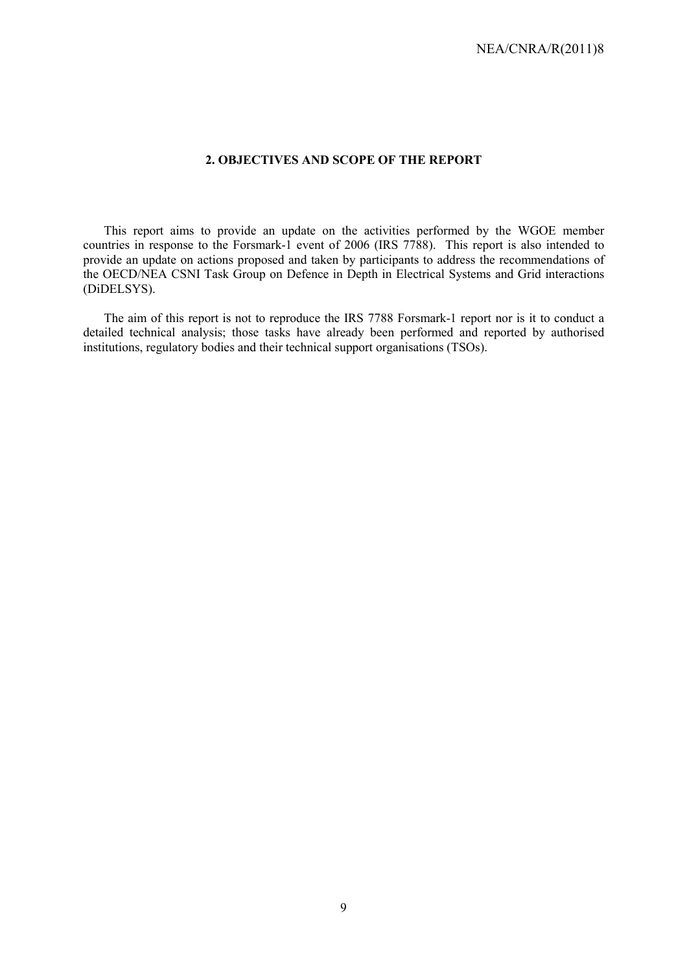# **2. OBJECTIVES AND SCOPE OF THE REPORT**

This report aims to provide an update on the activities performed by the WGOE member countries in response to the Forsmark-1 event of 2006 (IRS 7788). This report is also intended to provide an update on actions proposed and taken by participants to address the recommendations of the OECD/NEA CSNI Task Group on Defence in Depth in Electrical Systems and Grid interactions (DiDELSYS).

The aim of this report is not to reproduce the IRS 7788 Forsmark-1 report nor is it to conduct a detailed technical analysis; those tasks have already been performed and reported by authorised institutions, regulatory bodies and their technical support organisations (TSOs).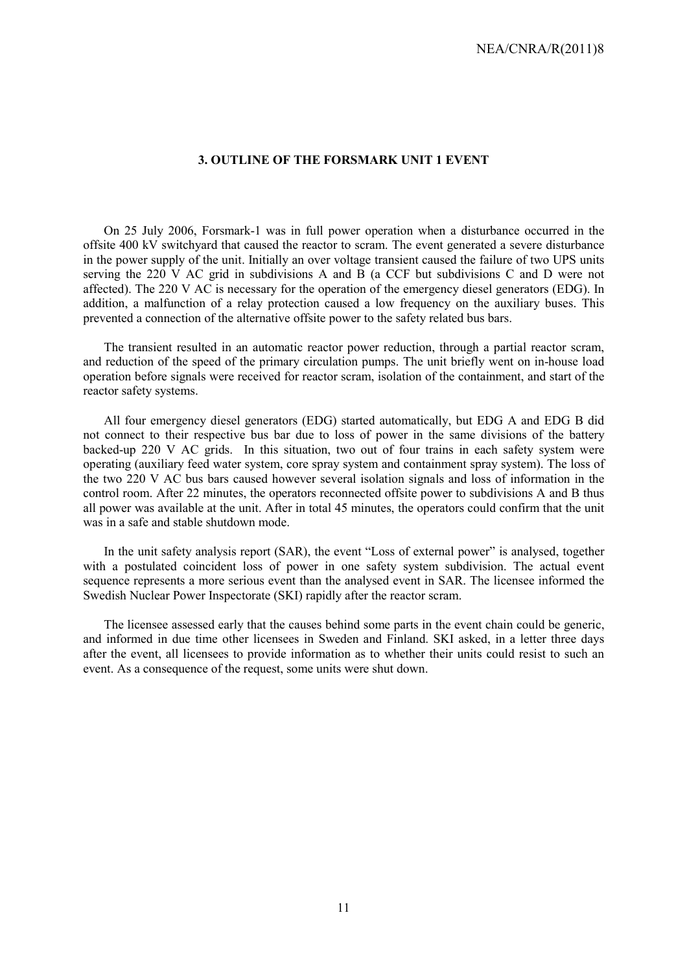# **3. OUTLINE OF THE FORSMARK UNIT 1 EVENT**

On 25 July 2006, Forsmark-1 was in full power operation when a disturbance occurred in the offsite 400 kV switchyard that caused the reactor to scram. The event generated a severe disturbance in the power supply of the unit. Initially an over voltage transient caused the failure of two UPS units serving the  $220 \text{ V}$  AC grid in subdivisions A and B (a CCF but subdivisions C and D were not affected). The 220 V AC is necessary for the operation of the emergency diesel generators (EDG). In addition, a malfunction of a relay protection caused a low frequency on the auxiliary buses. This prevented a connection of the alternative offsite power to the safety related bus bars.

The transient resulted in an automatic reactor power reduction, through a partial reactor scram, and reduction of the speed of the primary circulation pumps. The unit briefly went on in-house load operation before signals were received for reactor scram, isolation of the containment, and start of the reactor safety systems.

All four emergency diesel generators (EDG) started automatically, but EDG A and EDG B did not connect to their respective bus bar due to loss of power in the same divisions of the battery backed-up 220 V AC grids. In this situation, two out of four trains in each safety system were operating (auxiliary feed water system, core spray system and containment spray system). The loss of the two 220 V AC bus bars caused however several isolation signals and loss of information in the control room. After 22 minutes, the operators reconnected offsite power to subdivisions A and B thus all power was available at the unit. After in total 45 minutes, the operators could confirm that the unit was in a safe and stable shutdown mode.

In the unit safety analysis report (SAR), the event "Loss of external power" is analysed, together with a postulated coincident loss of power in one safety system subdivision. The actual event sequence represents a more serious event than the analysed event in SAR. The licensee informed the Swedish Nuclear Power Inspectorate (SKI) rapidly after the reactor scram.

The licensee assessed early that the causes behind some parts in the event chain could be generic, and informed in due time other licensees in Sweden and Finland. SKI asked, in a letter three days after the event, all licensees to provide information as to whether their units could resist to such an event. As a consequence of the request, some units were shut down.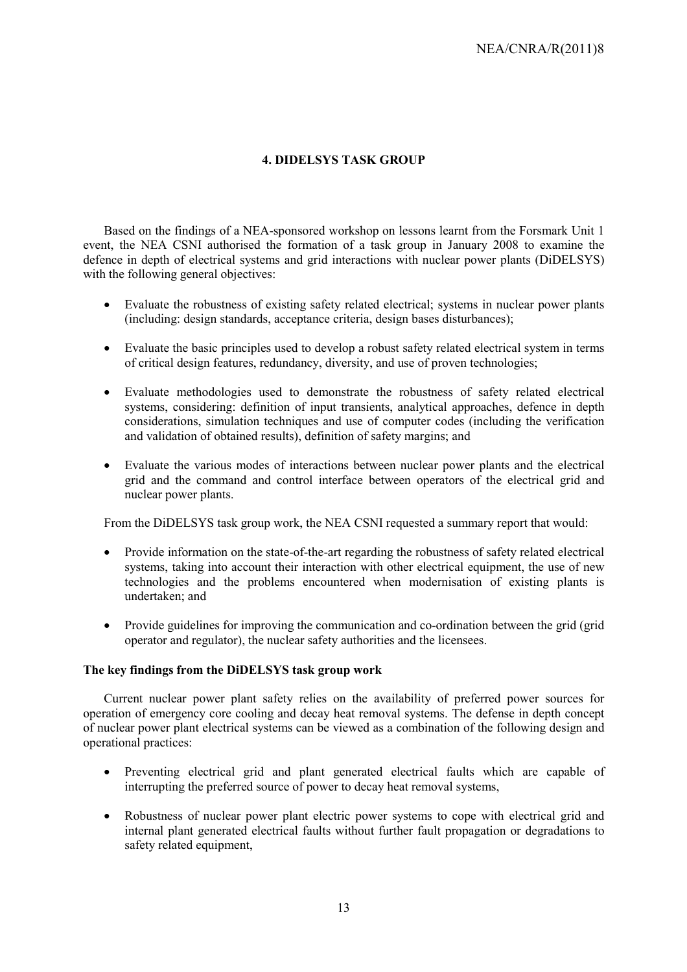# **4. DIDELSYS TASK GROUP**

Based on the findings of a NEA-sponsored workshop on lessons learnt from the Forsmark Unit 1 event, the NEA CSNI authorised the formation of a task group in January 2008 to examine the defence in depth of electrical systems and grid interactions with nuclear power plants (DiDELSYS) with the following general objectives:

- Evaluate the robustness of existing safety related electrical; systems in nuclear power plants (including: design standards, acceptance criteria, design bases disturbances);
- Evaluate the basic principles used to develop a robust safety related electrical system in terms of critical design features, redundancy, diversity, and use of proven technologies;
- Evaluate methodologies used to demonstrate the robustness of safety related electrical systems, considering: definition of input transients, analytical approaches, defence in depth considerations, simulation techniques and use of computer codes (including the verification and validation of obtained results), definition of safety margins; and
- Evaluate the various modes of interactions between nuclear power plants and the electrical grid and the command and control interface between operators of the electrical grid and nuclear power plants.

From the DiDELSYS task group work, the NEA CSNI requested a summary report that would:

- Provide information on the state-of-the-art regarding the robustness of safety related electrical systems, taking into account their interaction with other electrical equipment, the use of new technologies and the problems encountered when modernisation of existing plants is undertaken; and
- Provide guidelines for improving the communication and co-ordination between the grid (grid operator and regulator), the nuclear safety authorities and the licensees.

#### **The key findings from the DiDELSYS task group work**

Current nuclear power plant safety relies on the availability of preferred power sources for operation of emergency core cooling and decay heat removal systems. The defense in depth concept of nuclear power plant electrical systems can be viewed as a combination of the following design and operational practices:

- Preventing electrical grid and plant generated electrical faults which are capable of interrupting the preferred source of power to decay heat removal systems,
- Robustness of nuclear power plant electric power systems to cope with electrical grid and internal plant generated electrical faults without further fault propagation or degradations to safety related equipment,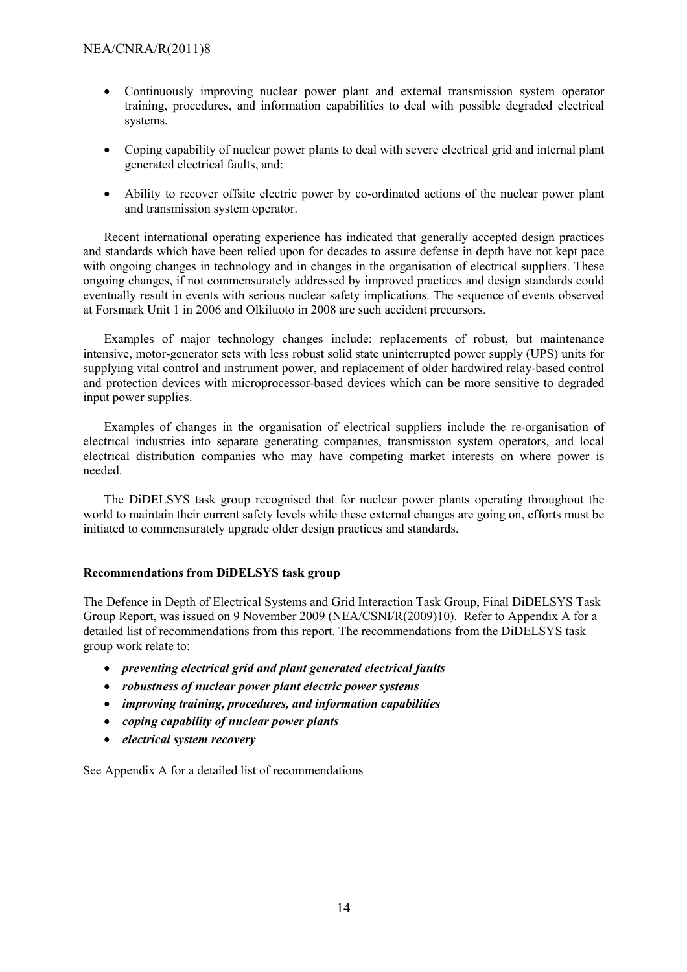- Continuously improving nuclear power plant and external transmission system operator training, procedures, and information capabilities to deal with possible degraded electrical systems,
- Coping capability of nuclear power plants to deal with severe electrical grid and internal plant generated electrical faults, and:
- Ability to recover offsite electric power by co-ordinated actions of the nuclear power plant and transmission system operator.

Recent international operating experience has indicated that generally accepted design practices and standards which have been relied upon for decades to assure defense in depth have not kept pace with ongoing changes in technology and in changes in the organisation of electrical suppliers. These ongoing changes, if not commensurately addressed by improved practices and design standards could eventually result in events with serious nuclear safety implications. The sequence of events observed at Forsmark Unit 1 in 2006 and Olkiluoto in 2008 are such accident precursors.

Examples of major technology changes include: replacements of robust, but maintenance intensive, motor-generator sets with less robust solid state uninterrupted power supply (UPS) units for supplying vital control and instrument power, and replacement of older hardwired relay-based control and protection devices with microprocessor-based devices which can be more sensitive to degraded input power supplies.

Examples of changes in the organisation of electrical suppliers include the re-organisation of electrical industries into separate generating companies, transmission system operators, and local electrical distribution companies who may have competing market interests on where power is needed.

The DiDELSYS task group recognised that for nuclear power plants operating throughout the world to maintain their current safety levels while these external changes are going on, efforts must be initiated to commensurately upgrade older design practices and standards.

# **Recommendations from DiDELSYS task group**

The Defence in Depth of Electrical Systems and Grid Interaction Task Group, Final DiDELSYS Task Group Report, was issued on 9 November 2009 (NEA/CSNI/R(2009)10). Refer to Appendix A for a detailed list of recommendations from this report. The recommendations from the DiDELSYS task group work relate to:

- *preventing electrical grid and plant generated electrical faults*
- *robustness of nuclear power plant electric power systems*
- *improving training, procedures, and information capabilities*
- *coping capability of nuclear power plants*
- *electrical system recovery*

See Appendix A for a detailed list of recommendations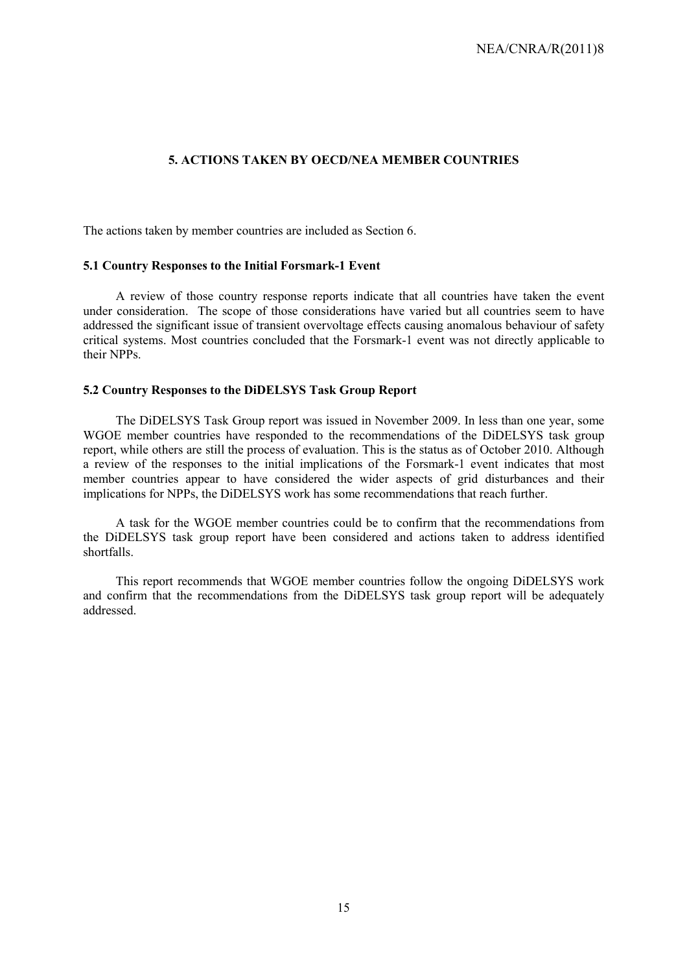# **5. ACTIONS TAKEN BY OECD/NEA MEMBER COUNTRIES**

The actions taken by member countries are included as Section 6.

#### **5.1 Country Responses to the Initial Forsmark-1 Event**

A review of those country response reports indicate that all countries have taken the event under consideration. The scope of those considerations have varied but all countries seem to have addressed the significant issue of transient overvoltage effects causing anomalous behaviour of safety critical systems. Most countries concluded that the Forsmark-1 event was not directly applicable to their NPPs.

#### **5.2 Country Responses to the DiDELSYS Task Group Report**

The DiDELSYS Task Group report was issued in November 2009. In less than one year, some WGOE member countries have responded to the recommendations of the DiDELSYS task group report, while others are still the process of evaluation. This is the status as of October 2010. Although a review of the responses to the initial implications of the Forsmark-1 event indicates that most member countries appear to have considered the wider aspects of grid disturbances and their implications for NPPs, the DiDELSYS work has some recommendations that reach further.

A task for the WGOE member countries could be to confirm that the recommendations from the DiDELSYS task group report have been considered and actions taken to address identified shortfalls.

This report recommends that WGOE member countries follow the ongoing DiDELSYS work and confirm that the recommendations from the DiDELSYS task group report will be adequately addressed.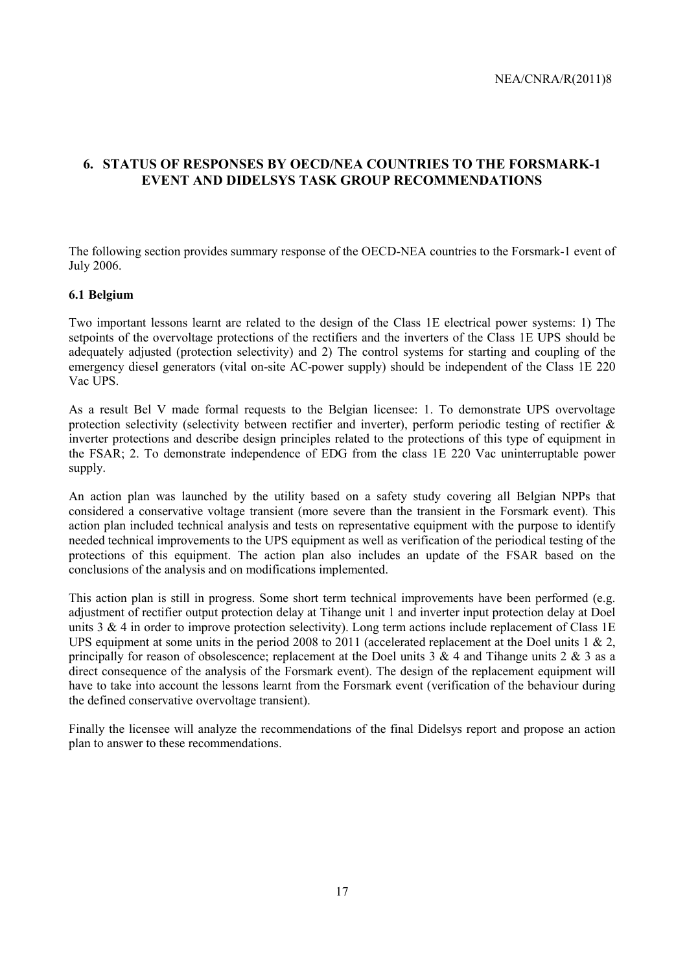# **6. STATUS OF RESPONSES BY OECD/NEA COUNTRIES TO THE FORSMARK-1 EVENT AND DIDELSYS TASK GROUP RECOMMENDATIONS**

The following section provides summary response of the OECD-NEA countries to the Forsmark-1 event of July 2006.

#### **6.1 Belgium**

Two important lessons learnt are related to the design of the Class 1E electrical power systems: 1) The setpoints of the overvoltage protections of the rectifiers and the inverters of the Class 1E UPS should be adequately adjusted (protection selectivity) and 2) The control systems for starting and coupling of the emergency diesel generators (vital on-site AC-power supply) should be independent of the Class 1E 220 Vac UPS<sup>1</sup>

As a result Bel V made formal requests to the Belgian licensee: 1. To demonstrate UPS overvoltage protection selectivity (selectivity between rectifier and inverter), perform periodic testing of rectifier & inverter protections and describe design principles related to the protections of this type of equipment in the FSAR; 2. To demonstrate independence of EDG from the class 1E 220 Vac uninterruptable power supply.

An action plan was launched by the utility based on a safety study covering all Belgian NPPs that considered a conservative voltage transient (more severe than the transient in the Forsmark event). This action plan included technical analysis and tests on representative equipment with the purpose to identify needed technical improvements to the UPS equipment as well as verification of the periodical testing of the protections of this equipment. The action plan also includes an update of the FSAR based on the conclusions of the analysis and on modifications implemented.

This action plan is still in progress. Some short term technical improvements have been performed (e.g. adjustment of rectifier output protection delay at Tihange unit 1 and inverter input protection delay at Doel units 3  $\&$  4 in order to improve protection selectivity). Long term actions include replacement of Class 1E UPS equipment at some units in the period 2008 to 2011 (accelerated replacement at the Doel units 1 & 2, principally for reason of obsolescence; replacement at the Doel units  $3 \& 4$  and Tihange units  $2 \& 3$  as a direct consequence of the analysis of the Forsmark event). The design of the replacement equipment will have to take into account the lessons learnt from the Forsmark event (verification of the behaviour during the defined conservative overvoltage transient).

Finally the licensee will analyze the recommendations of the final Didelsys report and propose an action plan to answer to these recommendations.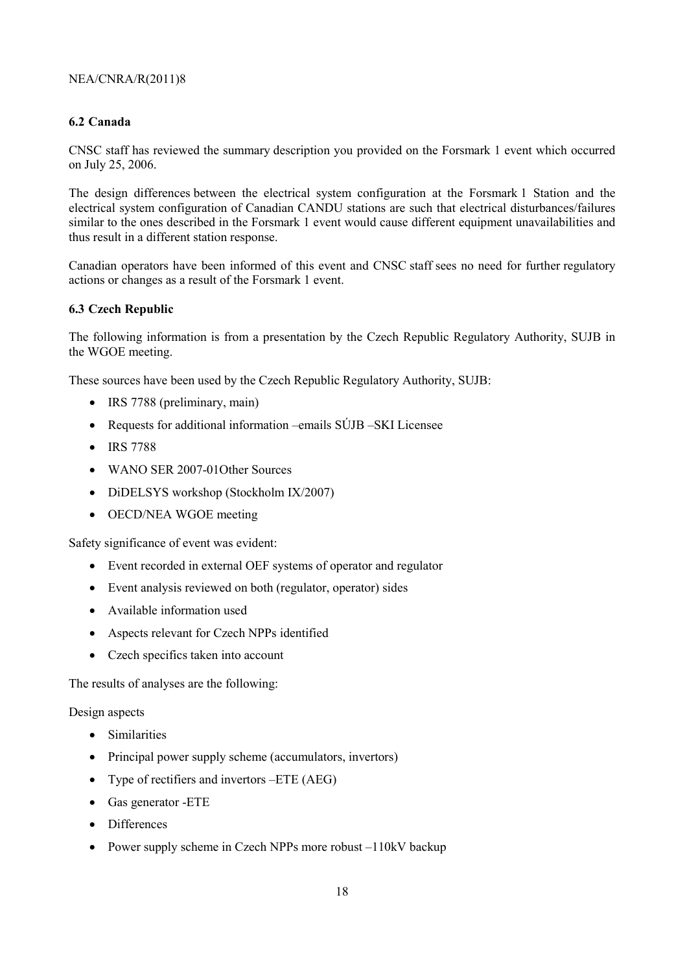# **6.2 Canada**

CNSC staff has reviewed the summary description you provided on the Forsmark 1 event which occurred on July 25, 2006.

The design differences between the electrical system configuration at the Forsmark 1 Station and the electrical system configuration of Canadian CANDU stations are such that electrical disturbances/failures similar to the ones described in the Forsmark 1 event would cause different equipment unavailabilities and thus result in a different station response.

Canadian operators have been informed of this event and CNSC staff sees no need for further regulatory actions or changes as a result of the Forsmark 1 event.

#### **6.3 Czech Republic**

The following information is from a presentation by the Czech Republic Regulatory Authority, SUJB in the WGOE meeting.

These sources have been used by the Czech Republic Regulatory Authority, SUJB:

- IRS 7788 (preliminary, main)
- Requests for additional information –emails SÚJB –SKI Licensee
- IRS 7788
- WANO SER 2007-01 Other Sources
- DiDELSYS workshop (Stockholm IX/2007)
- OECD/NEA WGOE meeting

Safety significance of event was evident:

- Event recorded in external OEF systems of operator and regulator
- Event analysis reviewed on both (regulator, operator) sides
- Available information used
- Aspects relevant for Czech NPPs identified
- Czech specifics taken into account

The results of analyses are the following:

Design aspects

- Similarities
- Principal power supply scheme (accumulators, invertors)
- Type of rectifiers and invertors –ETE (AEG)
- Gas generator -ETE
- Differences
- Power supply scheme in Czech NPPs more robust –110kV backup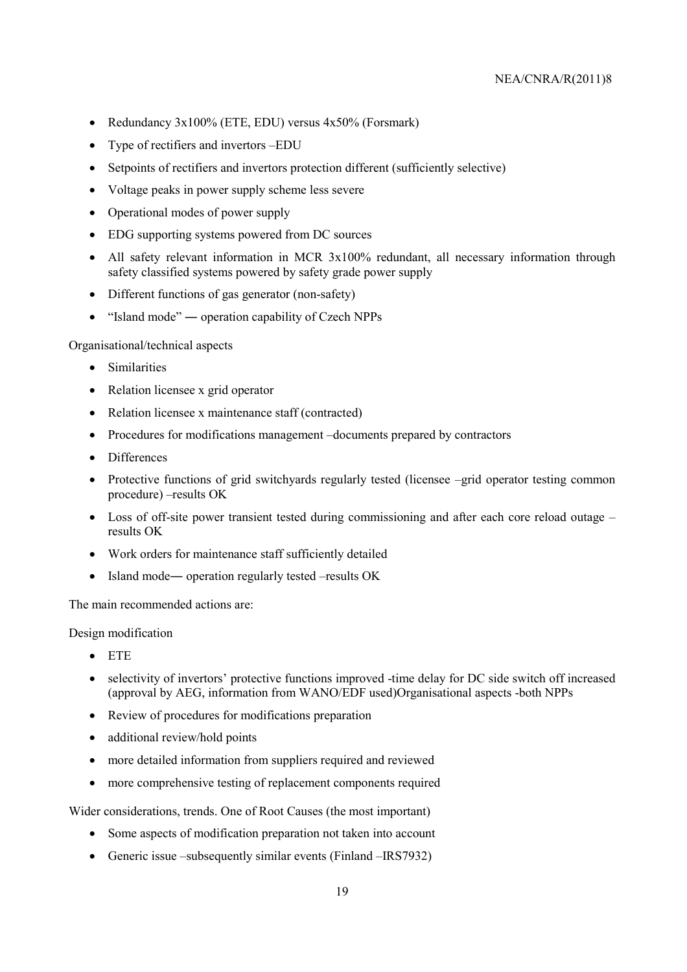- Redundancy 3x100% (ETE, EDU) versus 4x50% (Forsmark)
- Type of rectifiers and invertors –EDU
- Setpoints of rectifiers and invertors protection different (sufficiently selective)
- Voltage peaks in power supply scheme less severe
- Operational modes of power supply
- EDG supporting systems powered from DC sources
- All safety relevant information in MCR 3x100% redundant, all necessary information through safety classified systems powered by safety grade power supply
- Different functions of gas generator (non-safety)
- "Island mode" operation capability of Czech NPPs

Organisational/technical aspects

- Similarities
- Relation licensee x grid operator
- Relation licensee x maintenance staff (contracted)
- Procedures for modifications management –documents prepared by contractors
- Differences
- Protective functions of grid switchyards regularly tested (licensee –grid operator testing common procedure) –results OK
- Loss of off-site power transient tested during commissioning and after each core reload outage results OK
- Work orders for maintenance staff sufficiently detailed
- Island mode― operation regularly tested –results OK

The main recommended actions are:

Design modification

- ETE
- selectivity of invertors' protective functions improved -time delay for DC side switch off increased (approval by AEG, information from WANO/EDF used)Organisational aspects -both NPPs
- Review of procedures for modifications preparation
- additional review/hold points
- more detailed information from suppliers required and reviewed
- more comprehensive testing of replacement components required

Wider considerations, trends. One of Root Causes (the most important)

- Some aspects of modification preparation not taken into account
- Generic issue –subsequently similar events (Finland –IRS7932)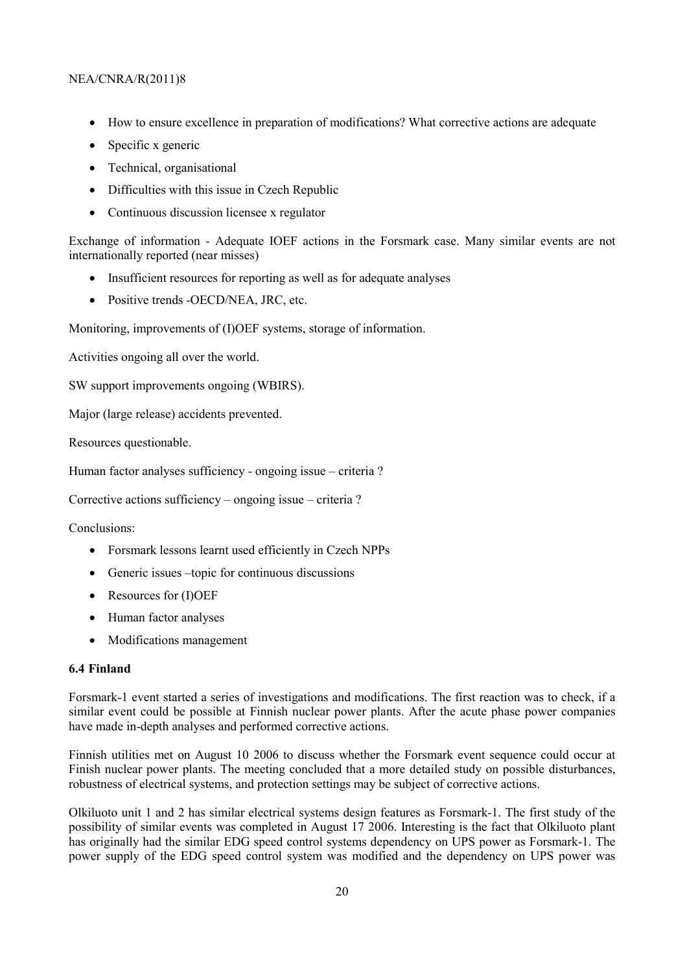- How to ensure excellence in preparation of modifications? What corrective actions are adequate
- Specific x generic
- Technical, organisational
- Difficulties with this issue in Czech Republic
- Continuous discussion licensee x regulator

Exchange of information - Adequate IOEF actions in the Forsmark case. Many similar events are not internationally reported (near misses)

- Insufficient resources for reporting as well as for adequate analyses
- Positive trends -OECD/NEA, JRC, etc.

Monitoring, improvements of (I)OEF systems, storage of information.

Activities ongoing all over the world.

SW support improvements ongoing (WBIRS).

Major (large release) accidents prevented.

Resources questionable.

Human factor analyses sufficiency - ongoing issue – criteria ?

Corrective actions sufficiency – ongoing issue – criteria ?

Conclusions:

- Forsmark lessons learnt used efficiently in Czech NPPs
- Generic issues –topic for continuous discussions
- Resources for (I)OEF
- Human factor analyses
- Modifications management

#### **6.4 Finland**

Forsmark-1 event started a series of investigations and modifications. The first reaction was to check, if a similar event could be possible at Finnish nuclear power plants. After the acute phase power companies have made in-depth analyses and performed corrective actions.

Finnish utilities met on August 10 2006 to discuss whether the Forsmark event sequence could occur at Finish nuclear power plants. The meeting concluded that a more detailed study on possible disturbances, robustness of electrical systems, and protection settings may be subject of corrective actions.

Olkiluoto unit 1 and 2 has similar electrical systems design features as Forsmark-1. The first study of the possibility of similar events was completed in August 17 2006. Interesting is the fact that Olkiluoto plant has originally had the similar EDG speed control systems dependency on UPS power as Forsmark-1. The power supply of the EDG speed control system was modified and the dependency on UPS power was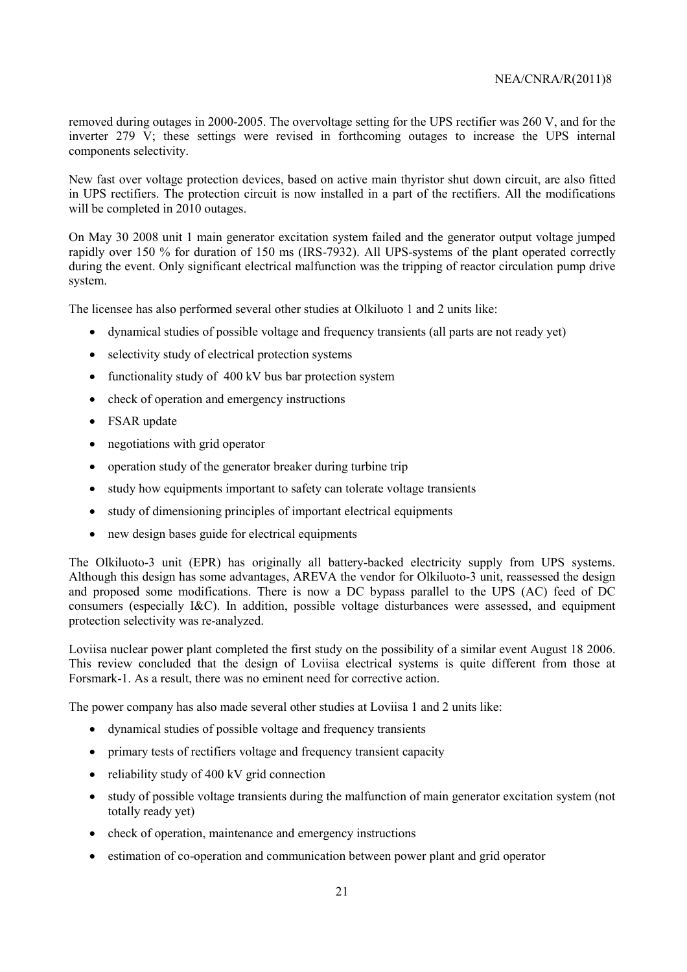removed during outages in 2000-2005. The overvoltage setting for the UPS rectifier was 260 V, and for the inverter 279 V; these settings were revised in forthcoming outages to increase the UPS internal components selectivity.

New fast over voltage protection devices, based on active main thyristor shut down circuit, are also fitted in UPS rectifiers. The protection circuit is now installed in a part of the rectifiers. All the modifications will be completed in 2010 outages.

On May 30 2008 unit 1 main generator excitation system failed and the generator output voltage jumped rapidly over 150 % for duration of 150 ms (IRS-7932). All UPS-systems of the plant operated correctly during the event. Only significant electrical malfunction was the tripping of reactor circulation pump drive system.

The licensee has also performed several other studies at Olkiluoto 1 and 2 units like:

- dynamical studies of possible voltage and frequency transients (all parts are not ready yet)
- selectivity study of electrical protection systems
- functionality study of 400 kV bus bar protection system
- check of operation and emergency instructions
- FSAR update
- negotiations with grid operator
- operation study of the generator breaker during turbine trip
- study how equipments important to safety can tolerate voltage transients
- study of dimensioning principles of important electrical equipments
- new design bases guide for electrical equipments

The Olkiluoto-3 unit (EPR) has originally all battery-backed electricity supply from UPS systems. Although this design has some advantages, AREVA the vendor for Olkiluoto-3 unit, reassessed the design and proposed some modifications. There is now a DC bypass parallel to the UPS (AC) feed of DC consumers (especially I&C). In addition, possible voltage disturbances were assessed, and equipment protection selectivity was re-analyzed.

Loviisa nuclear power plant completed the first study on the possibility of a similar event August 18 2006. This review concluded that the design of Loviisa electrical systems is quite different from those at Forsmark-1. As a result, there was no eminent need for corrective action.

The power company has also made several other studies at Loviisa 1 and 2 units like:

- dynamical studies of possible voltage and frequency transients
- primary tests of rectifiers voltage and frequency transient capacity
- reliability study of 400 kV grid connection
- study of possible voltage transients during the malfunction of main generator excitation system (not totally ready yet)
- check of operation, maintenance and emergency instructions
- estimation of co-operation and communication between power plant and grid operator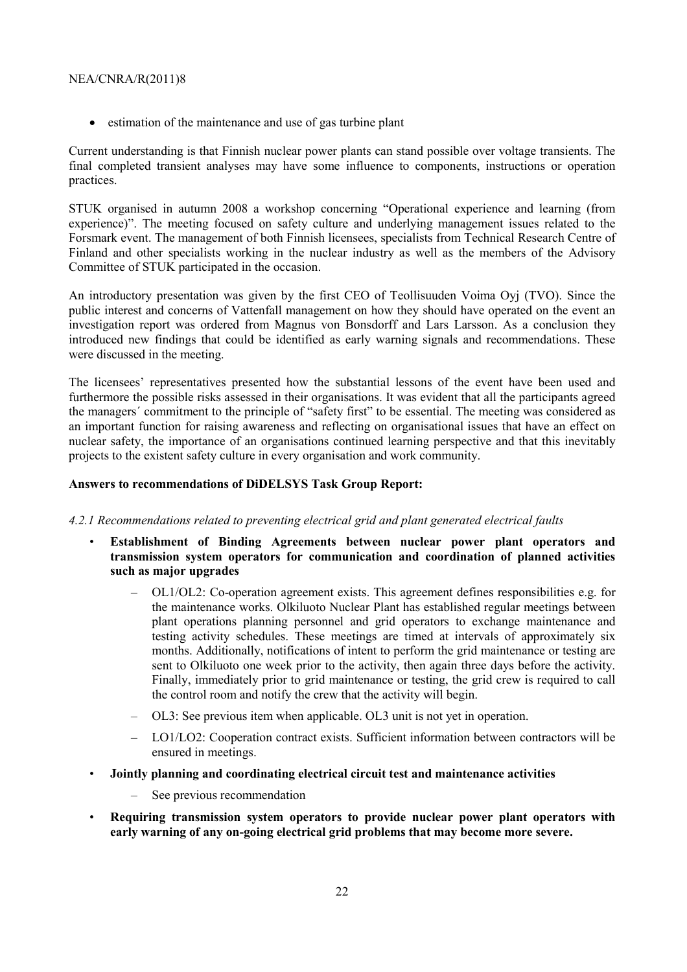• estimation of the maintenance and use of gas turbine plant

Current understanding is that Finnish nuclear power plants can stand possible over voltage transients. The final completed transient analyses may have some influence to components, instructions or operation practices.

STUK organised in autumn 2008 a workshop concerning "Operational experience and learning (from experience)". The meeting focused on safety culture and underlying management issues related to the Forsmark event. The management of both Finnish licensees, specialists from Technical Research Centre of Finland and other specialists working in the nuclear industry as well as the members of the Advisory Committee of STUK participated in the occasion.

An introductory presentation was given by the first CEO of Teollisuuden Voima Oyj (TVO). Since the public interest and concerns of Vattenfall management on how they should have operated on the event an investigation report was ordered from Magnus von Bonsdorff and Lars Larsson. As a conclusion they introduced new findings that could be identified as early warning signals and recommendations. These were discussed in the meeting.

The licensees' representatives presented how the substantial lessons of the event have been used and furthermore the possible risks assessed in their organisations. It was evident that all the participants agreed the managers´ commitment to the principle of "safety first" to be essential. The meeting was considered as an important function for raising awareness and reflecting on organisational issues that have an effect on nuclear safety, the importance of an organisations continued learning perspective and that this inevitably projects to the existent safety culture in every organisation and work community.

# **Answers to recommendations of DiDELSYS Task Group Report:**

#### *4.2.1 Recommendations related to preventing electrical grid and plant generated electrical faults*

- **Establishment of Binding Agreements between nuclear power plant operators and transmission system operators for communication and coordination of planned activities such as major upgrades**
	- OL1/OL2: Co-operation agreement exists. This agreement defines responsibilities e.g. for the maintenance works. Olkiluoto Nuclear Plant has established regular meetings between plant operations planning personnel and grid operators to exchange maintenance and testing activity schedules. These meetings are timed at intervals of approximately six months. Additionally, notifications of intent to perform the grid maintenance or testing are sent to Olkiluoto one week prior to the activity, then again three days before the activity. Finally, immediately prior to grid maintenance or testing, the grid crew is required to call the control room and notify the crew that the activity will begin.
	- OL3: See previous item when applicable. OL3 unit is not yet in operation.
	- LO1/LO2: Cooperation contract exists. Sufficient information between contractors will be ensured in meetings.
- **Jointly planning and coordinating electrical circuit test and maintenance activities**
	- See previous recommendation
- **Requiring transmission system operators to provide nuclear power plant operators with early warning of any on-going electrical grid problems that may become more severe.**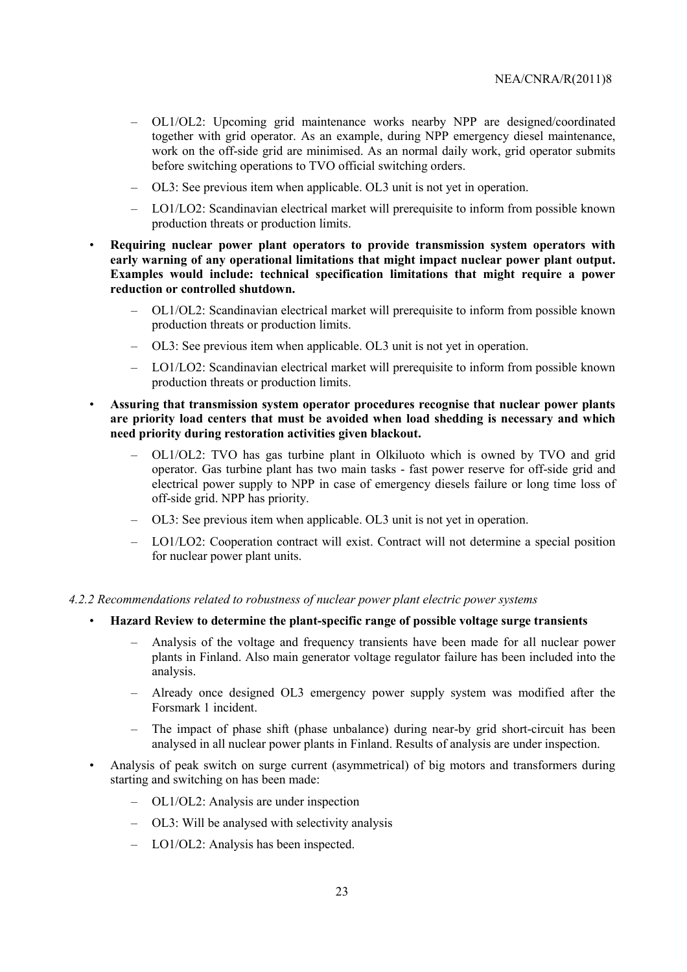- OL1/OL2: Upcoming grid maintenance works nearby NPP are designed/coordinated together with grid operator. As an example, during NPP emergency diesel maintenance, work on the off-side grid are minimised. As an normal daily work, grid operator submits before switching operations to TVO official switching orders.
- OL3: See previous item when applicable. OL3 unit is not yet in operation.
- LO1/LO2: Scandinavian electrical market will prerequisite to inform from possible known production threats or production limits.
- **Requiring nuclear power plant operators to provide transmission system operators with early warning of any operational limitations that might impact nuclear power plant output. Examples would include: technical specification limitations that might require a power reduction or controlled shutdown.**
	- OL1/OL2: Scandinavian electrical market will prerequisite to inform from possible known production threats or production limits.
	- OL3: See previous item when applicable. OL3 unit is not yet in operation.
	- LO1/LO2: Scandinavian electrical market will prerequisite to inform from possible known production threats or production limits.
- **Assuring that transmission system operator procedures recognise that nuclear power plants are priority load centers that must be avoided when load shedding is necessary and which need priority during restoration activities given blackout.**
	- OL1/OL2: TVO has gas turbine plant in Olkiluoto which is owned by TVO and grid operator. Gas turbine plant has two main tasks - fast power reserve for off-side grid and electrical power supply to NPP in case of emergency diesels failure or long time loss of off-side grid. NPP has priority.
	- OL3: See previous item when applicable. OL3 unit is not yet in operation.
	- LO1/LO2: Cooperation contract will exist. Contract will not determine a special position for nuclear power plant units.

#### *4.2.2 Recommendations related to robustness of nuclear power plant electric power systems*

- **Hazard Review to determine the plant-specific range of possible voltage surge transients**
	- Analysis of the voltage and frequency transients have been made for all nuclear power plants in Finland. Also main generator voltage regulator failure has been included into the analysis.
	- Already once designed OL3 emergency power supply system was modified after the Forsmark 1 incident.
	- The impact of phase shift (phase unbalance) during near-by grid short-circuit has been analysed in all nuclear power plants in Finland. Results of analysis are under inspection.
	- Analysis of peak switch on surge current (asymmetrical) of big motors and transformers during starting and switching on has been made:
		- OL1/OL2: Analysis are under inspection
		- OL3: Will be analysed with selectivity analysis
		- LO1/OL2: Analysis has been inspected.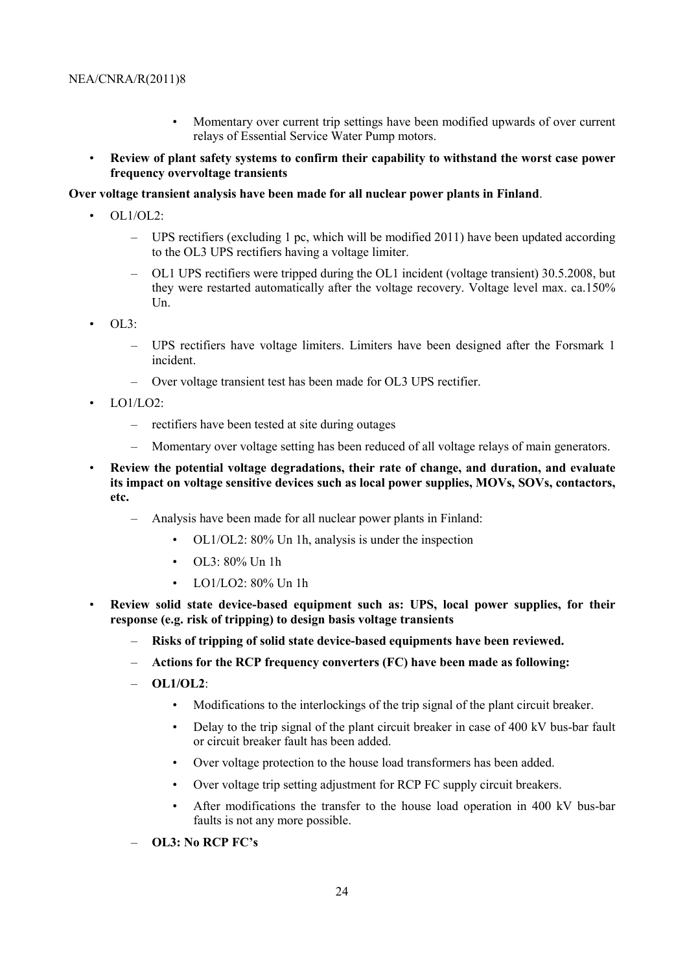- Momentary over current trip settings have been modified upwards of over current relays of Essential Service Water Pump motors.
- **Review of plant safety systems to confirm their capability to withstand the worst case power frequency overvoltage transients**

#### **Over voltage transient analysis have been made for all nuclear power plants in Finland**.

- $\bullet$  OL1/OL2:
	- UPS rectifiers (excluding 1 pc, which will be modified 2011) have been updated according to the OL3 UPS rectifiers having a voltage limiter.
	- OL1 UPS rectifiers were tripped during the OL1 incident (voltage transient) 30.5.2008, but they were restarted automatically after the voltage recovery. Voltage level max. ca.150%  $\mathbf{I}$  In.
- $\cdot$  OL3:
	- UPS rectifiers have voltage limiters. Limiters have been designed after the Forsmark 1 incident.
	- Over voltage transient test has been made for OL3 UPS rectifier.
- LO1/LO2:
	- rectifiers have been tested at site during outages
	- Momentary over voltage setting has been reduced of all voltage relays of main generators.
- **Review the potential voltage degradations, their rate of change, and duration, and evaluate its impact on voltage sensitive devices such as local power supplies, MOVs, SOVs, contactors, etc.**
	- Analysis have been made for all nuclear power plants in Finland:
		- OL1/OL2: 80% Un 1h, analysis is under the inspection
		- OL3: 80% Un 1h
		- LO1/LO2: 80% Un 1h
- **Review solid state device-based equipment such as: UPS, local power supplies, for their response (e.g. risk of tripping) to design basis voltage transients**
	- **Risks of tripping of solid state device-based equipments have been reviewed.**
	- **Actions for the RCP frequency converters (FC) have been made as following:**
	- **OL1/OL2**:
		- Modifications to the interlockings of the trip signal of the plant circuit breaker.
		- Delay to the trip signal of the plant circuit breaker in case of 400 kV bus-bar fault or circuit breaker fault has been added.
		- Over voltage protection to the house load transformers has been added.
		- Over voltage trip setting adjustment for RCP FC supply circuit breakers.
		- After modifications the transfer to the house load operation in 400 kV bus-bar faults is not any more possible.
	- **OL3: No RCP FC's**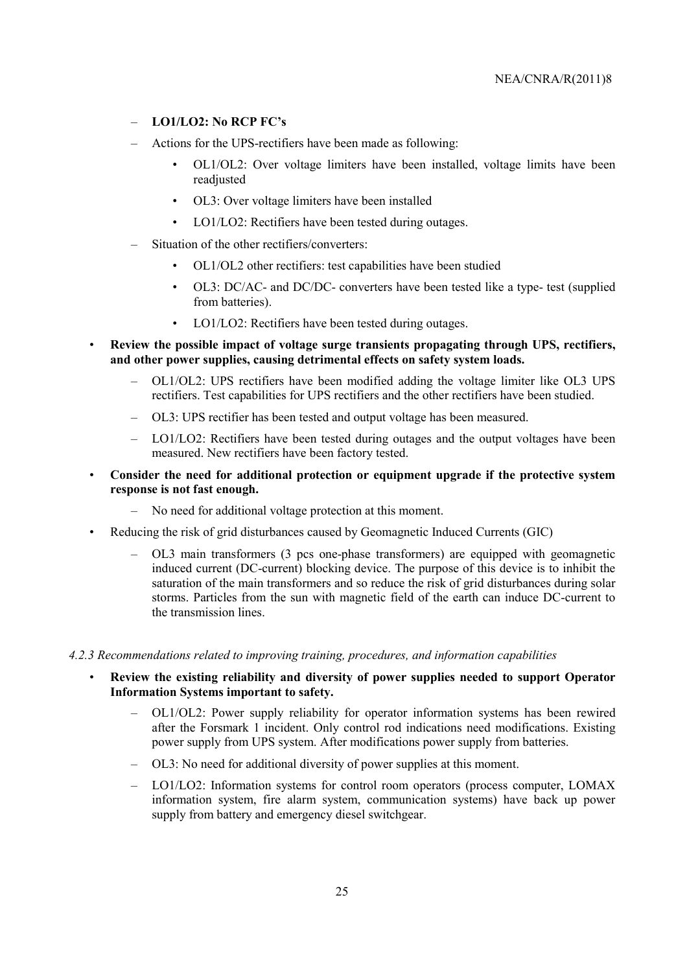# – **LO1/LO2: No RCP FC's**

- Actions for the UPS-rectifiers have been made as following:
	- OL1/OL2: Over voltage limiters have been installed, voltage limits have been readjusted
	- OL3: Over voltage limiters have been installed
	- LO1/LO2: Rectifiers have been tested during outages.
- Situation of the other rectifiers/converters:
	- OL1/OL2 other rectifiers: test capabilities have been studied
	- OL3: DC/AC- and DC/DC- converters have been tested like a type- test (supplied from batteries).
	- LO1/LO2: Rectifiers have been tested during outages.
- **Review the possible impact of voltage surge transients propagating through UPS, rectifiers, and other power supplies, causing detrimental effects on safety system loads.**
	- OL1/OL2: UPS rectifiers have been modified adding the voltage limiter like OL3 UPS rectifiers. Test capabilities for UPS rectifiers and the other rectifiers have been studied.
	- OL3: UPS rectifier has been tested and output voltage has been measured.
	- LO1/LO2: Rectifiers have been tested during outages and the output voltages have been measured. New rectifiers have been factory tested.
- **Consider the need for additional protection or equipment upgrade if the protective system response is not fast enough.**
	- No need for additional voltage protection at this moment.
- Reducing the risk of grid disturbances caused by Geomagnetic Induced Currents (GIC)
	- OL3 main transformers (3 pcs one-phase transformers) are equipped with geomagnetic induced current (DC-current) blocking device. The purpose of this device is to inhibit the saturation of the main transformers and so reduce the risk of grid disturbances during solar storms. Particles from the sun with magnetic field of the earth can induce DC-current to the transmission lines.

#### *4.2.3 Recommendations related to improving training, procedures, and information capabilities*

- **Review the existing reliability and diversity of power supplies needed to support Operator Information Systems important to safety.**
	- OL1/OL2: Power supply reliability for operator information systems has been rewired after the Forsmark 1 incident. Only control rod indications need modifications. Existing power supply from UPS system. After modifications power supply from batteries.
	- OL3: No need for additional diversity of power supplies at this moment.
	- LO1/LO2: Information systems for control room operators (process computer, LOMAX information system, fire alarm system, communication systems) have back up power supply from battery and emergency diesel switchgear.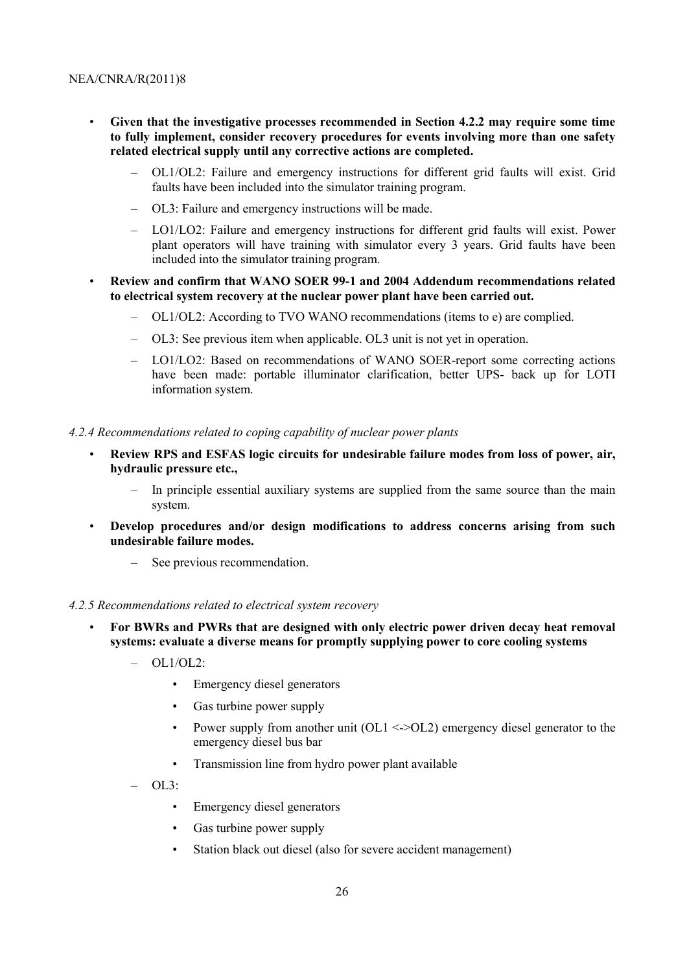- **Given that the investigative processes recommended in Section 4.2.2 may require some time to fully implement, consider recovery procedures for events involving more than one safety related electrical supply until any corrective actions are completed.**
	- OL1/OL2: Failure and emergency instructions for different grid faults will exist. Grid faults have been included into the simulator training program.
	- OL3: Failure and emergency instructions will be made.
	- LO1/LO2: Failure and emergency instructions for different grid faults will exist. Power plant operators will have training with simulator every 3 years. Grid faults have been included into the simulator training program.
- **Review and confirm that WANO SOER 99-1 and 2004 Addendum recommendations related to electrical system recovery at the nuclear power plant have been carried out.**
	- OL1/OL2: According to TVO WANO recommendations (items to e) are complied.
	- OL3: See previous item when applicable. OL3 unit is not yet in operation.
	- LO1/LO2: Based on recommendations of WANO SOER-report some correcting actions have been made: portable illuminator clarification, better UPS- back up for LOTI information system.

*4.2.4 Recommendations related to coping capability of nuclear power plants* 

- **Review RPS and ESFAS logic circuits for undesirable failure modes from loss of power, air, hydraulic pressure etc.,**
	- In principle essential auxiliary systems are supplied from the same source than the main system.
- **Develop procedures and/or design modifications to address concerns arising from such undesirable failure modes.**
	- See previous recommendation.
- *4.2.5 Recommendations related to electrical system recovery* 
	- **For BWRs and PWRs that are designed with only electric power driven decay heat removal systems: evaluate a diverse means for promptly supplying power to core cooling systems**
		- OL1/OL2:
			- Emergency diesel generators
			- Gas turbine power supply
			- Power supply from another unit  $(OL1 \leq SU2)$  emergency diesel generator to the emergency diesel bus bar
			- Transmission line from hydro power plant available
		- $OLA$ 
			- Emergency diesel generators
			- Gas turbine power supply
			- Station black out diesel (also for severe accident management)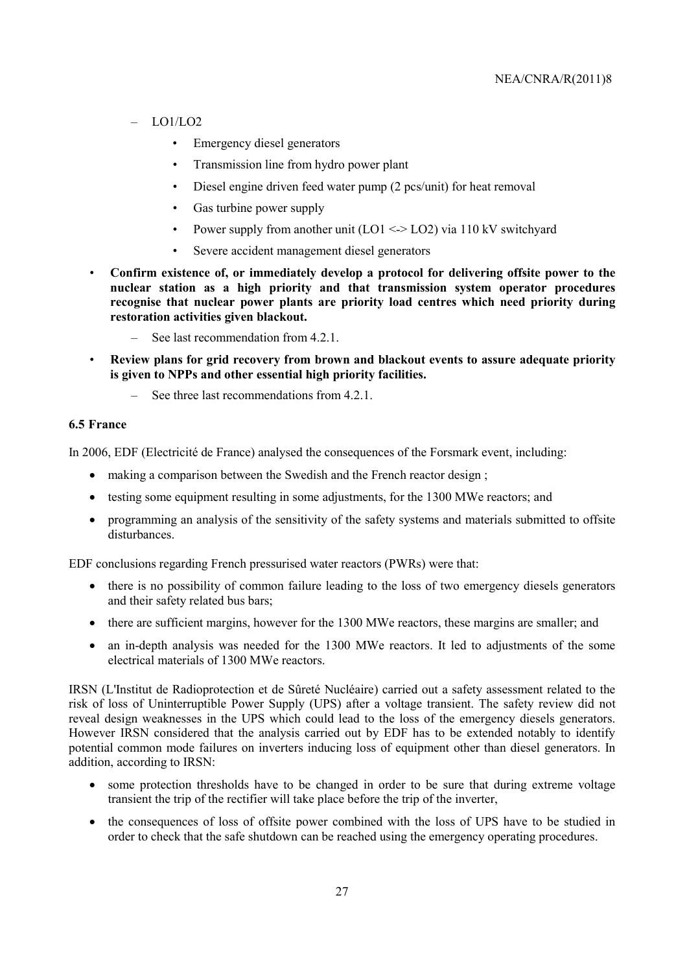- $-$  LO1/LO2
	- Emergency diesel generators
	- Transmission line from hydro power plant
	- Diesel engine driven feed water pump (2 pcs/unit) for heat removal
	- Gas turbine power supply
	- Power supply from another unit  $(LO1 \leq D2)$  via 110 kV switchyard
	- Severe accident management diesel generators
- **Confirm existence of, or immediately develop a protocol for delivering offsite power to the nuclear station as a high priority and that transmission system operator procedures recognise that nuclear power plants are priority load centres which need priority during restoration activities given blackout.**
	- See last recommendation from 4.2.1.
- **Review plans for grid recovery from brown and blackout events to assure adequate priority is given to NPPs and other essential high priority facilities.**
	- See three last recommendations from 4.2.1.

#### **6.5 France**

In 2006, EDF (Electricité de France) analysed the consequences of the Forsmark event, including:

- making a comparison between the Swedish and the French reactor design :
- testing some equipment resulting in some adjustments, for the 1300 MWe reactors; and
- programming an analysis of the sensitivity of the safety systems and materials submitted to offsite disturbances.

EDF conclusions regarding French pressurised water reactors (PWRs) were that:

- there is no possibility of common failure leading to the loss of two emergency diesels generators and their safety related bus bars;
- there are sufficient margins, however for the 1300 MWe reactors, these margins are smaller; and
- an in-depth analysis was needed for the 1300 MWe reactors. It led to adjustments of the some electrical materials of 1300 MWe reactors.

IRSN (L'Institut de Radioprotection et de Sûreté Nucléaire) carried out a safety assessment related to the risk of loss of Uninterruptible Power Supply (UPS) after a voltage transient. The safety review did not reveal design weaknesses in the UPS which could lead to the loss of the emergency diesels generators. However IRSN considered that the analysis carried out by EDF has to be extended notably to identify potential common mode failures on inverters inducing loss of equipment other than diesel generators. In addition, according to IRSN:

- some protection thresholds have to be changed in order to be sure that during extreme voltage transient the trip of the rectifier will take place before the trip of the inverter,
- the consequences of loss of offsite power combined with the loss of UPS have to be studied in order to check that the safe shutdown can be reached using the emergency operating procedures.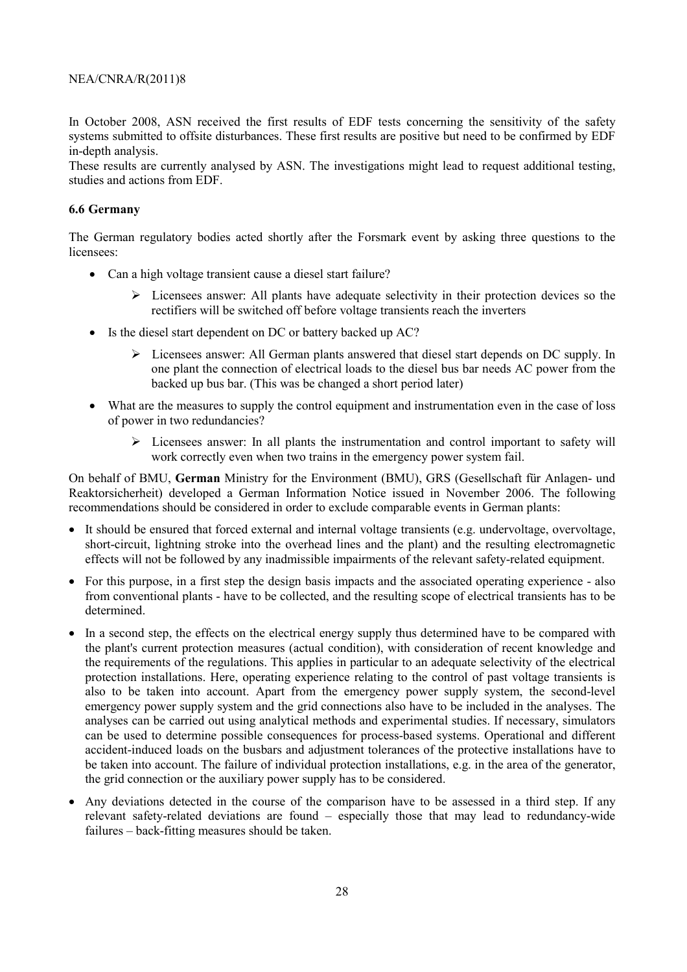In October 2008, ASN received the first results of EDF tests concerning the sensitivity of the safety systems submitted to offsite disturbances. These first results are positive but need to be confirmed by EDF in-depth analysis.

These results are currently analysed by ASN. The investigations might lead to request additional testing, studies and actions from EDF.

#### **6.6 Germany**

The German regulatory bodies acted shortly after the Forsmark event by asking three questions to the licensees:

- Can a high voltage transient cause a diesel start failure?
	- $\triangleright$  Licensees answer: All plants have adequate selectivity in their protection devices so the rectifiers will be switched off before voltage transients reach the inverters
- Is the diesel start dependent on DC or battery backed up AC?
	- $\triangleright$  Licensees answer: All German plants answered that diesel start depends on DC supply. In one plant the connection of electrical loads to the diesel bus bar needs AC power from the backed up bus bar. (This was be changed a short period later)
- What are the measures to supply the control equipment and instrumentation even in the case of loss of power in two redundancies?
	- $\triangleright$  Licensees answer: In all plants the instrumentation and control important to safety will work correctly even when two trains in the emergency power system fail.

On behalf of BMU, **German** Ministry for the Environment (BMU), GRS (Gesellschaft für Anlagen- und Reaktorsicherheit) developed a German Information Notice issued in November 2006. The following recommendations should be considered in order to exclude comparable events in German plants:

- It should be ensured that forced external and internal voltage transients (e.g. undervoltage, overvoltage, short-circuit, lightning stroke into the overhead lines and the plant) and the resulting electromagnetic effects will not be followed by any inadmissible impairments of the relevant safety-related equipment.
- For this purpose, in a first step the design basis impacts and the associated operating experience also from conventional plants - have to be collected, and the resulting scope of electrical transients has to be determined.
- In a second step, the effects on the electrical energy supply thus determined have to be compared with the plant's current protection measures (actual condition), with consideration of recent knowledge and the requirements of the regulations. This applies in particular to an adequate selectivity of the electrical protection installations. Here, operating experience relating to the control of past voltage transients is also to be taken into account. Apart from the emergency power supply system, the second-level emergency power supply system and the grid connections also have to be included in the analyses. The analyses can be carried out using analytical methods and experimental studies. If necessary, simulators can be used to determine possible consequences for process-based systems. Operational and different accident-induced loads on the busbars and adjustment tolerances of the protective installations have to be taken into account. The failure of individual protection installations, e.g. in the area of the generator, the grid connection or the auxiliary power supply has to be considered.
- Any deviations detected in the course of the comparison have to be assessed in a third step. If any relevant safety-related deviations are found – especially those that may lead to redundancy-wide failures – back-fitting measures should be taken.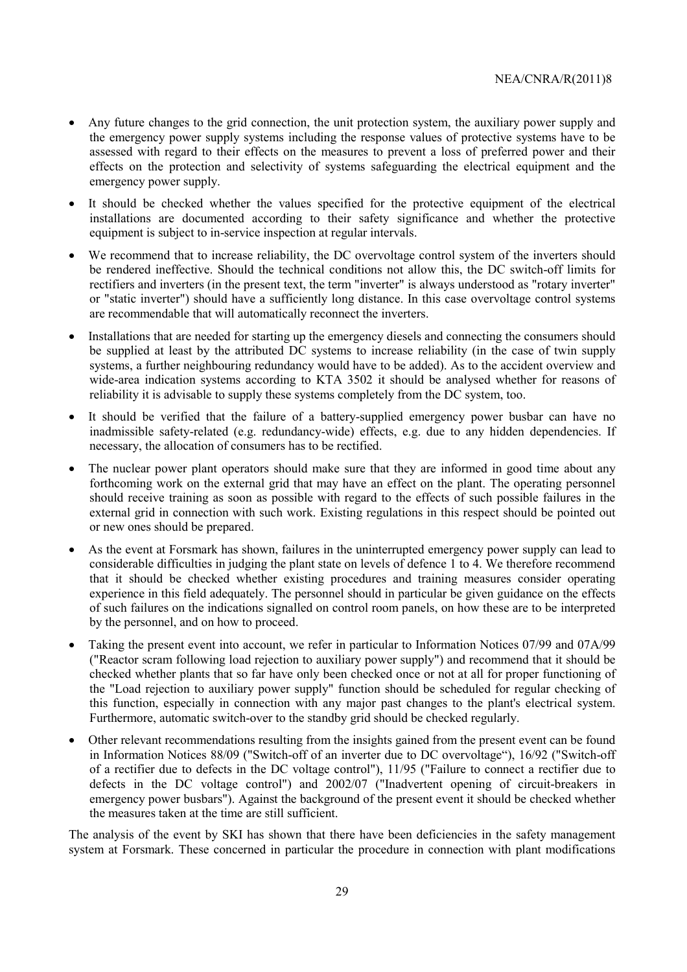- Any future changes to the grid connection, the unit protection system, the auxiliary power supply and the emergency power supply systems including the response values of protective systems have to be assessed with regard to their effects on the measures to prevent a loss of preferred power and their effects on the protection and selectivity of systems safeguarding the electrical equipment and the emergency power supply.
- It should be checked whether the values specified for the protective equipment of the electrical installations are documented according to their safety significance and whether the protective equipment is subject to in-service inspection at regular intervals.
- We recommend that to increase reliability, the DC overvoltage control system of the inverters should be rendered ineffective. Should the technical conditions not allow this, the DC switch-off limits for rectifiers and inverters (in the present text, the term "inverter" is always understood as "rotary inverter" or "static inverter") should have a sufficiently long distance. In this case overvoltage control systems are recommendable that will automatically reconnect the inverters.
- Installations that are needed for starting up the emergency diesels and connecting the consumers should be supplied at least by the attributed DC systems to increase reliability (in the case of twin supply systems, a further neighbouring redundancy would have to be added). As to the accident overview and wide-area indication systems according to KTA 3502 it should be analysed whether for reasons of reliability it is advisable to supply these systems completely from the DC system, too.
- It should be verified that the failure of a battery-supplied emergency power busbar can have no inadmissible safety-related (e.g. redundancy-wide) effects, e.g. due to any hidden dependencies. If necessary, the allocation of consumers has to be rectified.
- The nuclear power plant operators should make sure that they are informed in good time about any forthcoming work on the external grid that may have an effect on the plant. The operating personnel should receive training as soon as possible with regard to the effects of such possible failures in the external grid in connection with such work. Existing regulations in this respect should be pointed out or new ones should be prepared.
- As the event at Forsmark has shown, failures in the uninterrupted emergency power supply can lead to considerable difficulties in judging the plant state on levels of defence 1 to 4. We therefore recommend that it should be checked whether existing procedures and training measures consider operating experience in this field adequately. The personnel should in particular be given guidance on the effects of such failures on the indications signalled on control room panels, on how these are to be interpreted by the personnel, and on how to proceed.
- Taking the present event into account, we refer in particular to Information Notices 07/99 and 07A/99 ("Reactor scram following load rejection to auxiliary power supply") and recommend that it should be checked whether plants that so far have only been checked once or not at all for proper functioning of the "Load rejection to auxiliary power supply" function should be scheduled for regular checking of this function, especially in connection with any major past changes to the plant's electrical system. Furthermore, automatic switch-over to the standby grid should be checked regularly.
- Other relevant recommendations resulting from the insights gained from the present event can be found in Information Notices 88/09 ("Switch-off of an inverter due to DC overvoltage"), 16/92 ("Switch-off of a rectifier due to defects in the DC voltage control"), 11/95 ("Failure to connect a rectifier due to defects in the DC voltage control") and 2002/07 ("Inadvertent opening of circuit-breakers in emergency power busbars"). Against the background of the present event it should be checked whether the measures taken at the time are still sufficient.

The analysis of the event by SKI has shown that there have been deficiencies in the safety management system at Forsmark. These concerned in particular the procedure in connection with plant modifications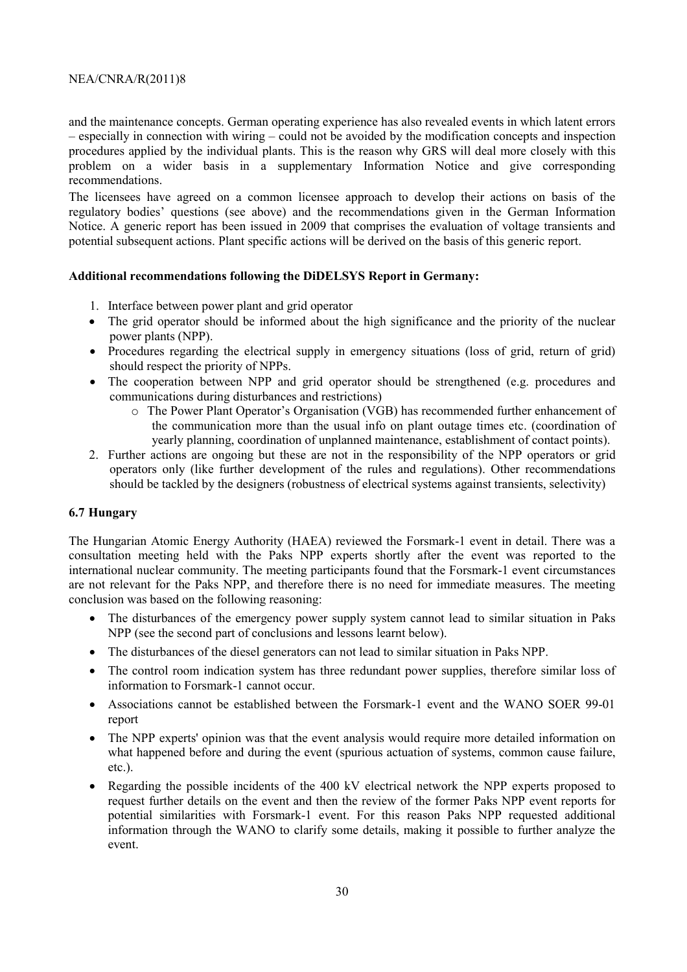and the maintenance concepts. German operating experience has also revealed events in which latent errors – especially in connection with wiring – could not be avoided by the modification concepts and inspection procedures applied by the individual plants. This is the reason why GRS will deal more closely with this problem on a wider basis in a supplementary Information Notice and give corresponding recommendations.

The licensees have agreed on a common licensee approach to develop their actions on basis of the regulatory bodies' questions (see above) and the recommendations given in the German Information Notice. A generic report has been issued in 2009 that comprises the evaluation of voltage transients and potential subsequent actions. Plant specific actions will be derived on the basis of this generic report.

# **Additional recommendations following the DiDELSYS Report in Germany:**

- 1. Interface between power plant and grid operator
- The grid operator should be informed about the high significance and the priority of the nuclear power plants (NPP).
- Procedures regarding the electrical supply in emergency situations (loss of grid, return of grid) should respect the priority of NPPs.
- The cooperation between NPP and grid operator should be strengthened (e.g. procedures and communications during disturbances and restrictions)
	- o The Power Plant Operator's Organisation (VGB) has recommended further enhancement of the communication more than the usual info on plant outage times etc. (coordination of yearly planning, coordination of unplanned maintenance, establishment of contact points).
- 2. Further actions are ongoing but these are not in the responsibility of the NPP operators or grid operators only (like further development of the rules and regulations). Other recommendations should be tackled by the designers (robustness of electrical systems against transients, selectivity)

#### **6.7 Hungary**

The Hungarian Atomic Energy Authority (HAEA) reviewed the Forsmark-1 event in detail. There was a consultation meeting held with the Paks NPP experts shortly after the event was reported to the international nuclear community. The meeting participants found that the Forsmark-1 event circumstances are not relevant for the Paks NPP, and therefore there is no need for immediate measures. The meeting conclusion was based on the following reasoning:

- The disturbances of the emergency power supply system cannot lead to similar situation in Paks NPP (see the second part of conclusions and lessons learnt below).
- The disturbances of the diesel generators can not lead to similar situation in Paks NPP.
- The control room indication system has three redundant power supplies, therefore similar loss of information to Forsmark-1 cannot occur.
- Associations cannot be established between the Forsmark-1 event and the WANO SOER 99-01 report
- The NPP experts' opinion was that the event analysis would require more detailed information on what happened before and during the event (spurious actuation of systems, common cause failure, etc.).
- Regarding the possible incidents of the 400 kV electrical network the NPP experts proposed to request further details on the event and then the review of the former Paks NPP event reports for potential similarities with Forsmark-1 event. For this reason Paks NPP requested additional information through the WANO to clarify some details, making it possible to further analyze the event.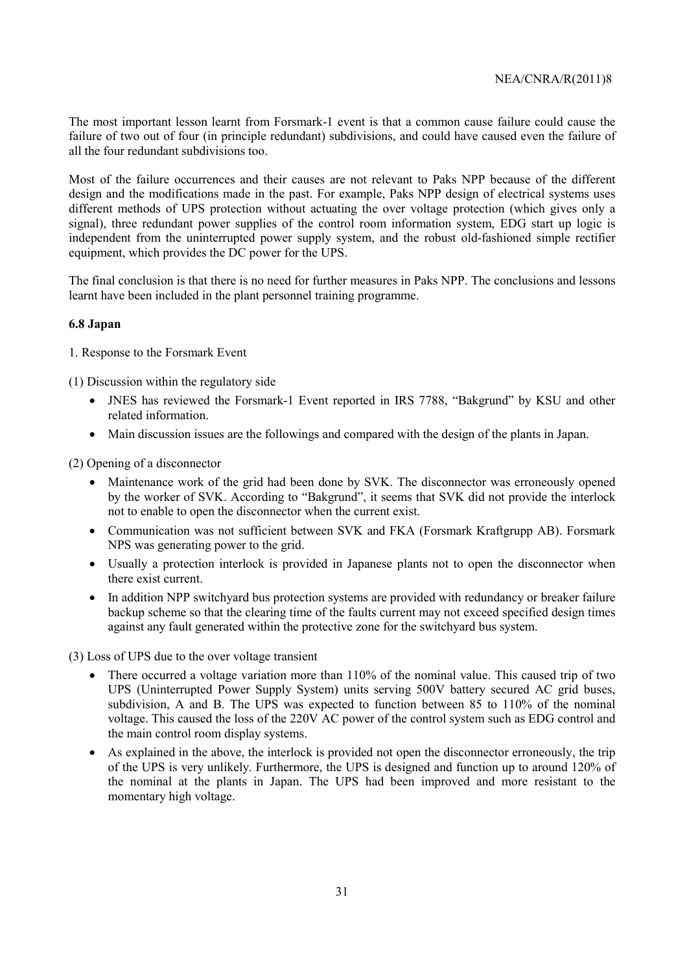The most important lesson learnt from Forsmark-1 event is that a common cause failure could cause the failure of two out of four (in principle redundant) subdivisions, and could have caused even the failure of all the four redundant subdivisions too.

Most of the failure occurrences and their causes are not relevant to Paks NPP because of the different design and the modifications made in the past. For example, Paks NPP design of electrical systems uses different methods of UPS protection without actuating the over voltage protection (which gives only a signal), three redundant power supplies of the control room information system, EDG start up logic is independent from the uninterrupted power supply system, and the robust old-fashioned simple rectifier equipment, which provides the DC power for the UPS.

The final conclusion is that there is no need for further measures in Paks NPP. The conclusions and lessons learnt have been included in the plant personnel training programme.

#### **6.8 Japan**

1. Response to the Forsmark Event

(1) Discussion within the regulatory side

- JNES has reviewed the Forsmark-1 Event reported in IRS 7788, "Bakgrund" by KSU and other related information.
- Main discussion issues are the followings and compared with the design of the plants in Japan.

(2) Opening of a disconnector

- Maintenance work of the grid had been done by SVK. The disconnector was erroneously opened by the worker of SVK. According to "Bakgrund", it seems that SVK did not provide the interlock not to enable to open the disconnector when the current exist.
- Communication was not sufficient between SVK and FKA (Forsmark Kraftgrupp AB). Forsmark NPS was generating power to the grid.
- Usually a protection interlock is provided in Japanese plants not to open the disconnector when there exist current.
- In addition NPP switchyard bus protection systems are provided with redundancy or breaker failure backup scheme so that the clearing time of the faults current may not exceed specified design times against any fault generated within the protective zone for the switchyard bus system.

(3) Loss of UPS due to the over voltage transient

- There occurred a voltage variation more than 110% of the nominal value. This caused trip of two UPS (Uninterrupted Power Supply System) units serving 500V battery secured AC grid buses, subdivision, A and B. The UPS was expected to function between 85 to 110% of the nominal voltage. This caused the loss of the 220V AC power of the control system such as EDG control and the main control room display systems.
- As explained in the above, the interlock is provided not open the disconnector erroneously, the trip of the UPS is very unlikely. Furthermore, the UPS is designed and function up to around 120% of the nominal at the plants in Japan. The UPS had been improved and more resistant to the momentary high voltage.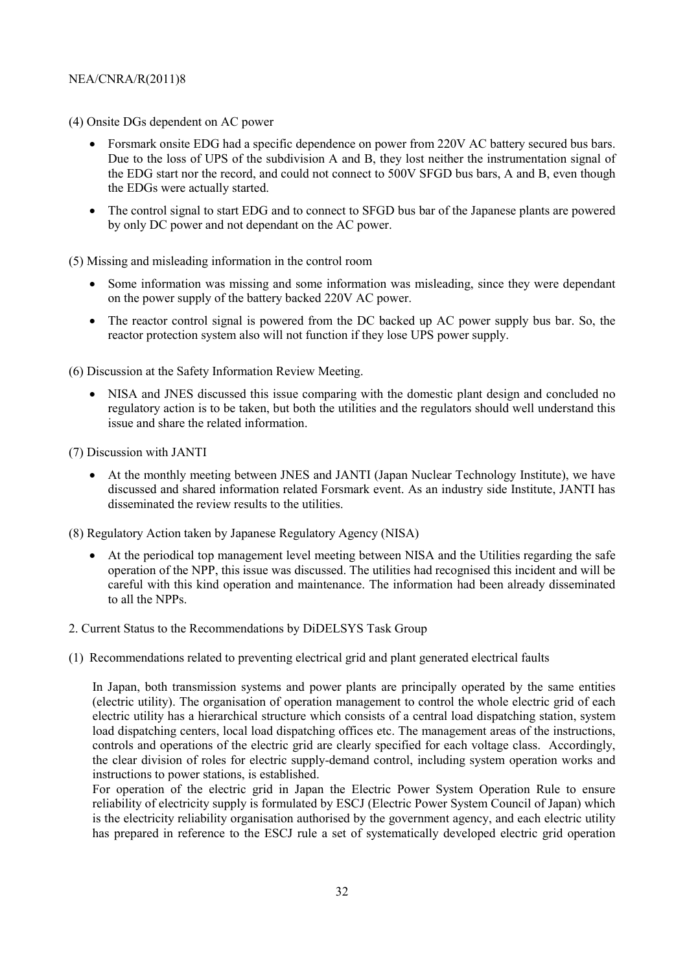(4) Onsite DGs dependent on AC power

- Forsmark onsite EDG had a specific dependence on power from 220V AC battery secured bus bars. Due to the loss of UPS of the subdivision A and B, they lost neither the instrumentation signal of the EDG start nor the record, and could not connect to 500V SFGD bus bars, A and B, even though the EDGs were actually started.
- The control signal to start EDG and to connect to SFGD bus bar of the Japanese plants are powered by only DC power and not dependant on the AC power.

(5) Missing and misleading information in the control room

- Some information was missing and some information was misleading, since they were dependant on the power supply of the battery backed 220V AC power.
- The reactor control signal is powered from the DC backed up AC power supply bus bar. So, the reactor protection system also will not function if they lose UPS power supply.

(6) Discussion at the Safety Information Review Meeting.

• NISA and JNES discussed this issue comparing with the domestic plant design and concluded no regulatory action is to be taken, but both the utilities and the regulators should well understand this issue and share the related information.

(7) Discussion with JANTI

• At the monthly meeting between JNES and JANTI (Japan Nuclear Technology Institute), we have discussed and shared information related Forsmark event. As an industry side Institute, JANTI has disseminated the review results to the utilities.

(8) Regulatory Action taken by Japanese Regulatory Agency (NISA)

- At the periodical top management level meeting between NISA and the Utilities regarding the safe operation of the NPP, this issue was discussed. The utilities had recognised this incident and will be careful with this kind operation and maintenance. The information had been already disseminated to all the NPPs.
- 2. Current Status to the Recommendations by DiDELSYS Task Group
- (1) Recommendations related to preventing electrical grid and plant generated electrical faults

In Japan, both transmission systems and power plants are principally operated by the same entities (electric utility). The organisation of operation management to control the whole electric grid of each electric utility has a hierarchical structure which consists of a central load dispatching station, system load dispatching centers, local load dispatching offices etc. The management areas of the instructions, controls and operations of the electric grid are clearly specified for each voltage class. Accordingly, the clear division of roles for electric supply-demand control, including system operation works and instructions to power stations, is established.

For operation of the electric grid in Japan the Electric Power System Operation Rule to ensure reliability of electricity supply is formulated by ESCJ (Electric Power System Council of Japan) which is the electricity reliability organisation authorised by the government agency, and each electric utility has prepared in reference to the ESCJ rule a set of systematically developed electric grid operation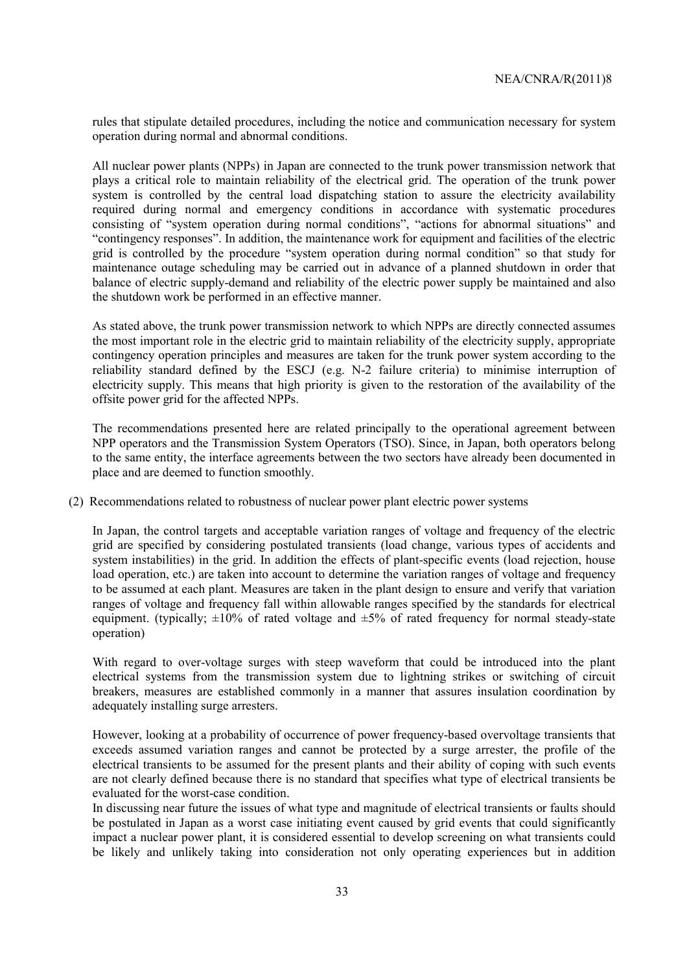rules that stipulate detailed procedures, including the notice and communication necessary for system operation during normal and abnormal conditions.

All nuclear power plants (NPPs) in Japan are connected to the trunk power transmission network that plays a critical role to maintain reliability of the electrical grid. The operation of the trunk power system is controlled by the central load dispatching station to assure the electricity availability required during normal and emergency conditions in accordance with systematic procedures consisting of "system operation during normal conditions", "actions for abnormal situations" and "contingency responses". In addition, the maintenance work for equipment and facilities of the electric grid is controlled by the procedure "system operation during normal condition" so that study for maintenance outage scheduling may be carried out in advance of a planned shutdown in order that balance of electric supply-demand and reliability of the electric power supply be maintained and also the shutdown work be performed in an effective manner.

As stated above, the trunk power transmission network to which NPPs are directly connected assumes the most important role in the electric grid to maintain reliability of the electricity supply, appropriate contingency operation principles and measures are taken for the trunk power system according to the reliability standard defined by the ESCJ (e.g. N-2 failure criteria) to minimise interruption of electricity supply. This means that high priority is given to the restoration of the availability of the offsite power grid for the affected NPPs.

The recommendations presented here are related principally to the operational agreement between NPP operators and the Transmission System Operators (TSO). Since, in Japan, both operators belong to the same entity, the interface agreements between the two sectors have already been documented in place and are deemed to function smoothly.

(2) Recommendations related to robustness of nuclear power plant electric power systems

In Japan, the control targets and acceptable variation ranges of voltage and frequency of the electric grid are specified by considering postulated transients (load change, various types of accidents and system instabilities) in the grid. In addition the effects of plant-specific events (load rejection, house load operation, etc.) are taken into account to determine the variation ranges of voltage and frequency to be assumed at each plant. Measures are taken in the plant design to ensure and verify that variation ranges of voltage and frequency fall within allowable ranges specified by the standards for electrical equipment. (typically:  $\pm 10\%$  of rated voltage and  $\pm 5\%$  of rated frequency for normal steady-state operation)

With regard to over-voltage surges with steep waveform that could be introduced into the plant electrical systems from the transmission system due to lightning strikes or switching of circuit breakers, measures are established commonly in a manner that assures insulation coordination by adequately installing surge arresters.

However, looking at a probability of occurrence of power frequency-based overvoltage transients that exceeds assumed variation ranges and cannot be protected by a surge arrester, the profile of the electrical transients to be assumed for the present plants and their ability of coping with such events are not clearly defined because there is no standard that specifies what type of electrical transients be evaluated for the worst-case condition.

In discussing near future the issues of what type and magnitude of electrical transients or faults should be postulated in Japan as a worst case initiating event caused by grid events that could significantly impact a nuclear power plant, it is considered essential to develop screening on what transients could be likely and unlikely taking into consideration not only operating experiences but in addition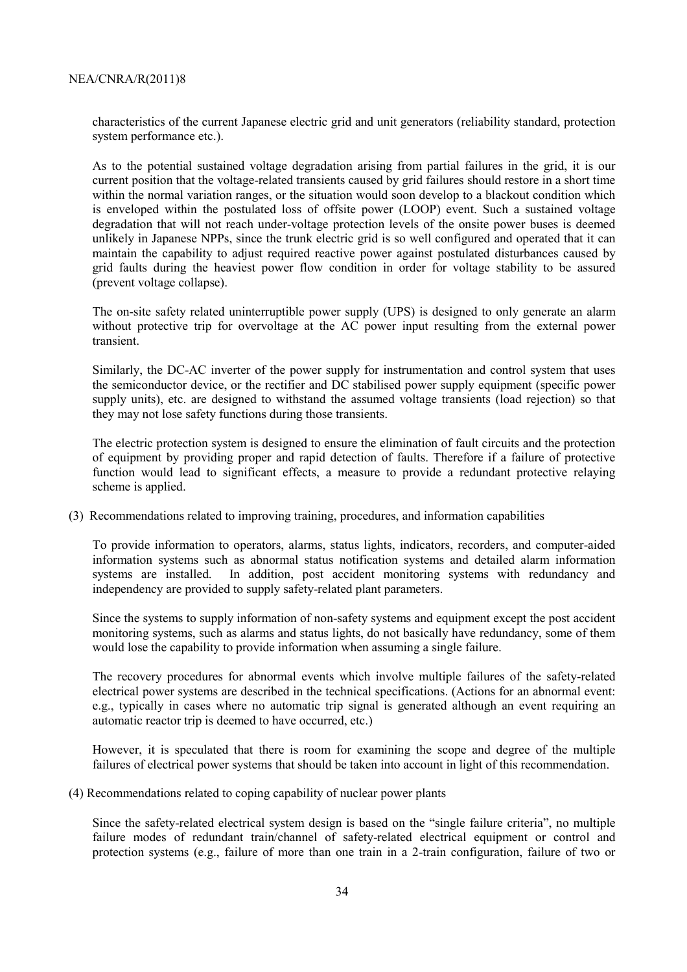characteristics of the current Japanese electric grid and unit generators (reliability standard, protection system performance etc.).

As to the potential sustained voltage degradation arising from partial failures in the grid, it is our current position that the voltage-related transients caused by grid failures should restore in a short time within the normal variation ranges, or the situation would soon develop to a blackout condition which is enveloped within the postulated loss of offsite power (LOOP) event. Such a sustained voltage degradation that will not reach under-voltage protection levels of the onsite power buses is deemed unlikely in Japanese NPPs, since the trunk electric grid is so well configured and operated that it can maintain the capability to adjust required reactive power against postulated disturbances caused by grid faults during the heaviest power flow condition in order for voltage stability to be assured (prevent voltage collapse).

The on-site safety related uninterruptible power supply (UPS) is designed to only generate an alarm without protective trip for overvoltage at the AC power input resulting from the external power transient.

Similarly, the DC-AC inverter of the power supply for instrumentation and control system that uses the semiconductor device, or the rectifier and DC stabilised power supply equipment (specific power supply units), etc. are designed to withstand the assumed voltage transients (load rejection) so that they may not lose safety functions during those transients.

The electric protection system is designed to ensure the elimination of fault circuits and the protection of equipment by providing proper and rapid detection of faults. Therefore if a failure of protective function would lead to significant effects, a measure to provide a redundant protective relaying scheme is applied.

(3) Recommendations related to improving training, procedures, and information capabilities

To provide information to operators, alarms, status lights, indicators, recorders, and computer-aided information systems such as abnormal status notification systems and detailed alarm information systems are installed. In addition, post accident monitoring systems with redundancy and independency are provided to supply safety-related plant parameters.

Since the systems to supply information of non-safety systems and equipment except the post accident monitoring systems, such as alarms and status lights, do not basically have redundancy, some of them would lose the capability to provide information when assuming a single failure.

The recovery procedures for abnormal events which involve multiple failures of the safety-related electrical power systems are described in the technical specifications. (Actions for an abnormal event: e.g., typically in cases where no automatic trip signal is generated although an event requiring an automatic reactor trip is deemed to have occurred, etc.)

However, it is speculated that there is room for examining the scope and degree of the multiple failures of electrical power systems that should be taken into account in light of this recommendation.

(4) Recommendations related to coping capability of nuclear power plants

Since the safety-related electrical system design is based on the "single failure criteria", no multiple failure modes of redundant train/channel of safety-related electrical equipment or control and protection systems (e.g., failure of more than one train in a 2-train configuration, failure of two or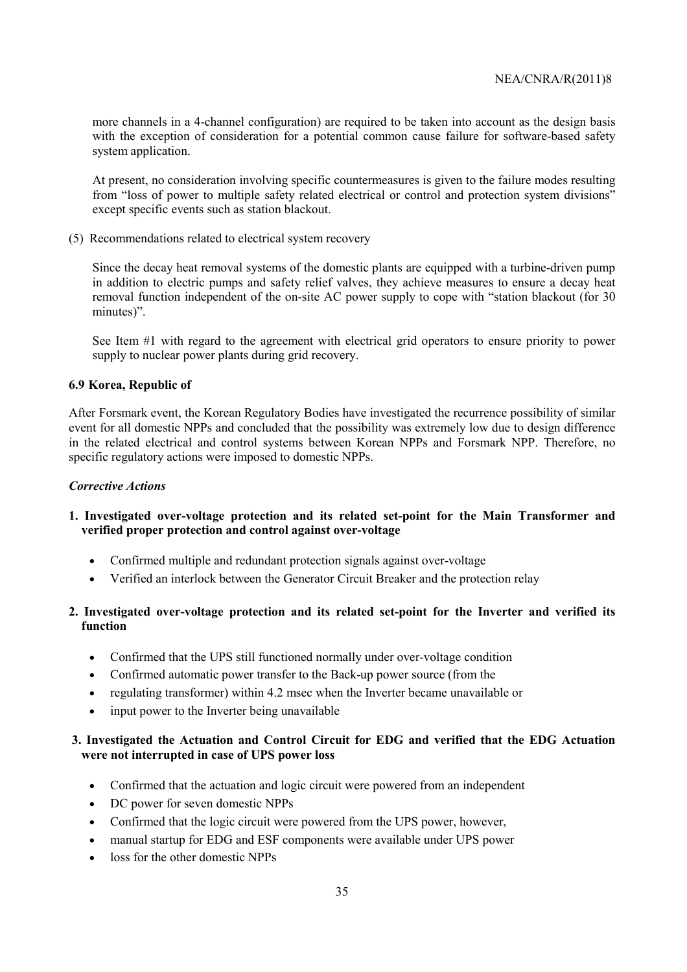more channels in a 4-channel configuration) are required to be taken into account as the design basis with the exception of consideration for a potential common cause failure for software-based safety system application.

At present, no consideration involving specific countermeasures is given to the failure modes resulting from "loss of power to multiple safety related electrical or control and protection system divisions" except specific events such as station blackout.

(5) Recommendations related to electrical system recovery

Since the decay heat removal systems of the domestic plants are equipped with a turbine-driven pump in addition to electric pumps and safety relief valves, they achieve measures to ensure a decay heat removal function independent of the on-site AC power supply to cope with "station blackout (for 30 minutes)".

See Item #1 with regard to the agreement with electrical grid operators to ensure priority to power supply to nuclear power plants during grid recovery.

#### **6.9 Korea, Republic of**

After Forsmark event, the Korean Regulatory Bodies have investigated the recurrence possibility of similar event for all domestic NPPs and concluded that the possibility was extremely low due to design difference in the related electrical and control systems between Korean NPPs and Forsmark NPP. Therefore, no specific regulatory actions were imposed to domestic NPPs.

#### *Corrective Actions*

# **1. Investigated over-voltage protection and its related set-point for the Main Transformer and verified proper protection and control against over-voltage**

- Confirmed multiple and redundant protection signals against over-voltage
- Verified an interlock between the Generator Circuit Breaker and the protection relay

# **2. Investigated over-voltage protection and its related set-point for the Inverter and verified its function**

- Confirmed that the UPS still functioned normally under over-voltage condition
- Confirmed automatic power transfer to the Back-up power source (from the
- regulating transformer) within 4.2 msec when the Inverter became unavailable or
- input power to the Inverter being unavailable

# **3. Investigated the Actuation and Control Circuit for EDG and verified that the EDG Actuation were not interrupted in case of UPS power loss**

- Confirmed that the actuation and logic circuit were powered from an independent
- DC power for seven domestic NPPs
- Confirmed that the logic circuit were powered from the UPS power, however,
- manual startup for EDG and ESF components were available under UPS power
- loss for the other domestic NPPs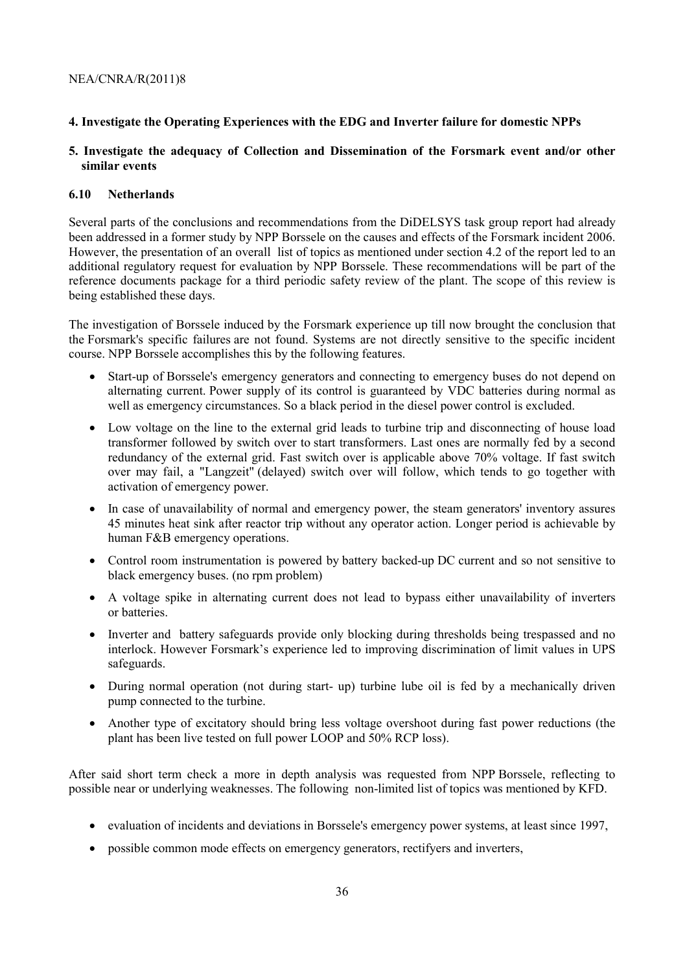# **4. Investigate the Operating Experiences with the EDG and Inverter failure for domestic NPPs**

# **5. Investigate the adequacy of Collection and Dissemination of the Forsmark event and/or other similar events**

# **6.10 Netherlands**

Several parts of the conclusions and recommendations from the DiDELSYS task group report had already been addressed in a former study by NPP Borssele on the causes and effects of the Forsmark incident 2006. However, the presentation of an overall list of topics as mentioned under section 4.2 of the report led to an additional regulatory request for evaluation by NPP Borssele. These recommendations will be part of the reference documents package for a third periodic safety review of the plant. The scope of this review is being established these days.

The investigation of Borssele induced by the Forsmark experience up till now brought the conclusion that the Forsmark's specific failures are not found. Systems are not directly sensitive to the specific incident course. NPP Borssele accomplishes this by the following features.

- Start-up of Borssele's emergency generators and connecting to emergency buses do not depend on alternating current. Power supply of its control is guaranteed by VDC batteries during normal as well as emergency circumstances. So a black period in the diesel power control is excluded.
- Low voltage on the line to the external grid leads to turbine trip and disconnecting of house load transformer followed by switch over to start transformers. Last ones are normally fed by a second redundancy of the external grid. Fast switch over is applicable above 70% voltage. If fast switch over may fail, a "Langzeit" (delayed) switch over will follow, which tends to go together with activation of emergency power.
- In case of unavailability of normal and emergency power, the steam generators' inventory assures 45 minutes heat sink after reactor trip without any operator action. Longer period is achievable by human F&B emergency operations.
- Control room instrumentation is powered by battery backed-up DC current and so not sensitive to black emergency buses. (no rpm problem)
- A voltage spike in alternating current does not lead to bypass either unavailability of inverters or batteries.
- Inverter and battery safeguards provide only blocking during thresholds being trespassed and no interlock. However Forsmark's experience led to improving discrimination of limit values in UPS safeguards.
- During normal operation (not during start- up) turbine lube oil is fed by a mechanically driven pump connected to the turbine.
- Another type of excitatory should bring less voltage overshoot during fast power reductions (the plant has been live tested on full power LOOP and 50% RCP loss).

After said short term check a more in depth analysis was requested from NPP Borssele, reflecting to possible near or underlying weaknesses. The following non-limited list of topics was mentioned by KFD.

- evaluation of incidents and deviations in Borssele's emergency power systems, at least since 1997,
- possible common mode effects on emergency generators, rectifyers and inverters,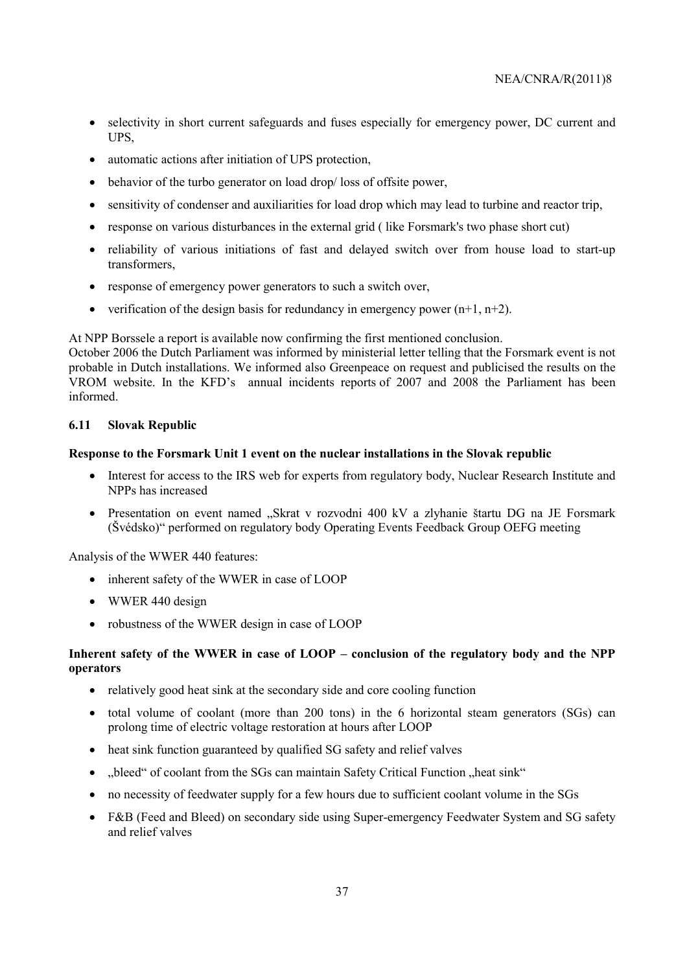- selectivity in short current safeguards and fuses especially for emergency power, DC current and UPS,
- automatic actions after initiation of UPS protection.
- behavior of the turbo generator on load drop/loss of offsite power,
- sensitivity of condenser and auxiliarities for load drop which may lead to turbine and reactor trip,
- response on various disturbances in the external grid ( like Forsmark's two phase short cut)
- reliability of various initiations of fast and delayed switch over from house load to start-up transformers,
- response of emergency power generators to such a switch over,
- verification of the design basis for redundancy in emergency power  $(n+1, n+2)$ .

At NPP Borssele a report is available now confirming the first mentioned conclusion.

October 2006 the Dutch Parliament was informed by ministerial letter telling that the Forsmark event is not probable in Dutch installations. We informed also Greenpeace on request and publicised the results on the VROM website. In the KFD's annual incidents reports of 2007 and 2008 the Parliament has been informed.

#### **6.11 Slovak Republic**

#### **Response to the Forsmark Unit 1 event on the nuclear installations in the Slovak republic**

- Interest for access to the IRS web for experts from regulatory body, Nuclear Research Institute and NPPs has increased
- Presentation on event named ...Skrat v rozvodni 400 kV a zlyhanie štartu DG na JE Forsmark (Švédsko)" performed on regulatory body Operating Events Feedback Group OEFG meeting

Analysis of the WWER 440 features:

- inherent safety of the WWER in case of LOOP
- WWER 440 design
- robustness of the WWER design in case of LOOP

# **Inherent safety of the WWER in case of LOOP – conclusion of the regulatory body and the NPP operators**

- relatively good heat sink at the secondary side and core cooling function
- total volume of coolant (more than 200 tons) in the 6 horizontal steam generators (SGs) can prolong time of electric voltage restoration at hours after LOOP
- heat sink function guaranteed by qualified SG safety and relief valves
- "bleed" of coolant from the SGs can maintain Safety Critical Function "heat sink"
- no necessity of feedwater supply for a few hours due to sufficient coolant volume in the SGs
- F&B (Feed and Bleed) on secondary side using Super-emergency Feedwater System and SG safety and relief valves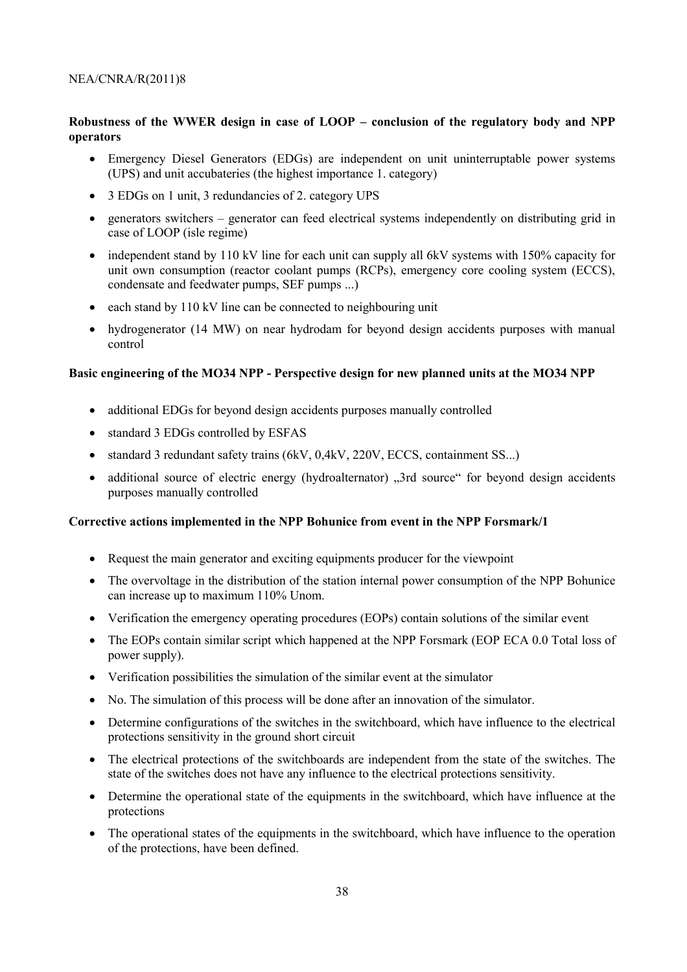#### **Robustness of the WWER design in case of LOOP – conclusion of the regulatory body and NPP operators**

- Emergency Diesel Generators (EDGs) are independent on unit uninterruptable power systems (UPS) and unit accubateries (the highest importance 1. category)
- 3 EDGs on 1 unit, 3 redundancies of 2. category UPS
- generators switchers generator can feed electrical systems independently on distributing grid in case of LOOP (isle regime)
- independent stand by 110 kV line for each unit can supply all 6kV systems with 150% capacity for unit own consumption (reactor coolant pumps (RCPs), emergency core cooling system (ECCS), condensate and feedwater pumps, SEF pumps ...)
- each stand by 110 kV line can be connected to neighbouring unit
- hydrogenerator (14 MW) on near hydrodam for beyond design accidents purposes with manual control

#### **Basic engineering of the MO34 NPP - Perspective design for new planned units at the MO34 NPP**

- additional EDGs for beyond design accidents purposes manually controlled
- standard 3 EDGs controlled by ESFAS
- standard 3 redundant safety trains (6kV, 0,4kV, 220V, ECCS, containment SS...)
- additional source of electric energy (hydroalternator) "3rd source" for beyond design accidents purposes manually controlled

#### **Corrective actions implemented in the NPP Bohunice from event in the NPP Forsmark/1**

- Request the main generator and exciting equipments producer for the viewpoint
- The overvoltage in the distribution of the station internal power consumption of the NPP Bohunice can increase up to maximum 110% Unom.
- Verification the emergency operating procedures (EOPs) contain solutions of the similar event
- The EOPs contain similar script which happened at the NPP Forsmark (EOP ECA 0.0 Total loss of power supply).
- Verification possibilities the simulation of the similar event at the simulator
- No. The simulation of this process will be done after an innovation of the simulator.
- Determine configurations of the switches in the switchboard, which have influence to the electrical protections sensitivity in the ground short circuit
- The electrical protections of the switchboards are independent from the state of the switches. The state of the switches does not have any influence to the electrical protections sensitivity.
- Determine the operational state of the equipments in the switchboard, which have influence at the protections
- The operational states of the equipments in the switchboard, which have influence to the operation of the protections, have been defined.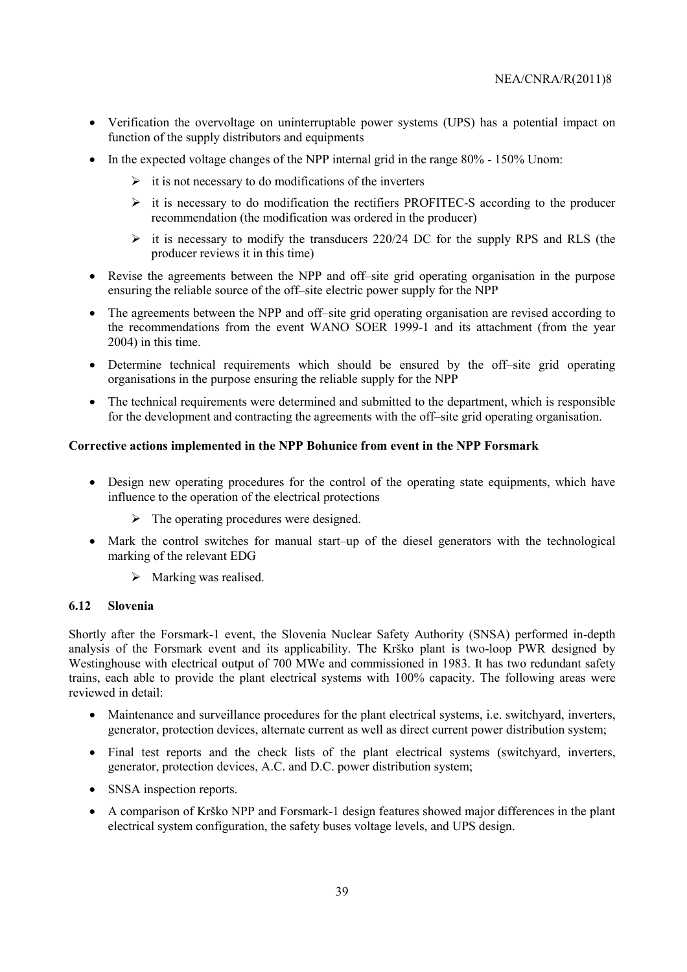- Verification the overvoltage on uninterruptable power systems (UPS) has a potential impact on function of the supply distributors and equipments
- In the expected voltage changes of the NPP internal grid in the range 80% 150% Unom:
	- $\triangleright$  it is not necessary to do modifications of the inverters
	- $\triangleright$  it is necessary to do modification the rectifiers PROFITEC-S according to the producer recommendation (the modification was ordered in the producer)
	- $\triangleright$  it is necessary to modify the transducers 220/24 DC for the supply RPS and RLS (the producer reviews it in this time)
- Revise the agreements between the NPP and off–site grid operating organisation in the purpose ensuring the reliable source of the off–site electric power supply for the NPP
- The agreements between the NPP and off–site grid operating organisation are revised according to the recommendations from the event WANO SOER 1999-1 and its attachment (from the year 2004) in this time.
- Determine technical requirements which should be ensured by the off–site grid operating organisations in the purpose ensuring the reliable supply for the NPP
- The technical requirements were determined and submitted to the department, which is responsible for the development and contracting the agreements with the off–site grid operating organisation.

# **Corrective actions implemented in the NPP Bohunice from event in the NPP Forsmark**

• Design new operating procedures for the control of the operating state equipments, which have influence to the operation of the electrical protections

 $\triangleright$  The operating procedures were designed.

- Mark the control switches for manual start–up of the diesel generators with the technological marking of the relevant EDG
	- $\triangleright$  Marking was realised.

#### **6.12 Slovenia**

Shortly after the Forsmark-1 event, the Slovenia Nuclear Safety Authority (SNSA) performed in-depth analysis of the Forsmark event and its applicability. The Krško plant is two-loop PWR designed by Westinghouse with electrical output of 700 MWe and commissioned in 1983. It has two redundant safety trains, each able to provide the plant electrical systems with 100% capacity. The following areas were reviewed in detail:

- Maintenance and surveillance procedures for the plant electrical systems, i.e. switchyard, inverters, generator, protection devices, alternate current as well as direct current power distribution system;
- Final test reports and the check lists of the plant electrical systems (switchyard, inverters, generator, protection devices, A.C. and D.C. power distribution system;
- SNSA inspection reports.
- A comparison of Krško NPP and Forsmark-1 design features showed major differences in the plant electrical system configuration, the safety buses voltage levels, and UPS design.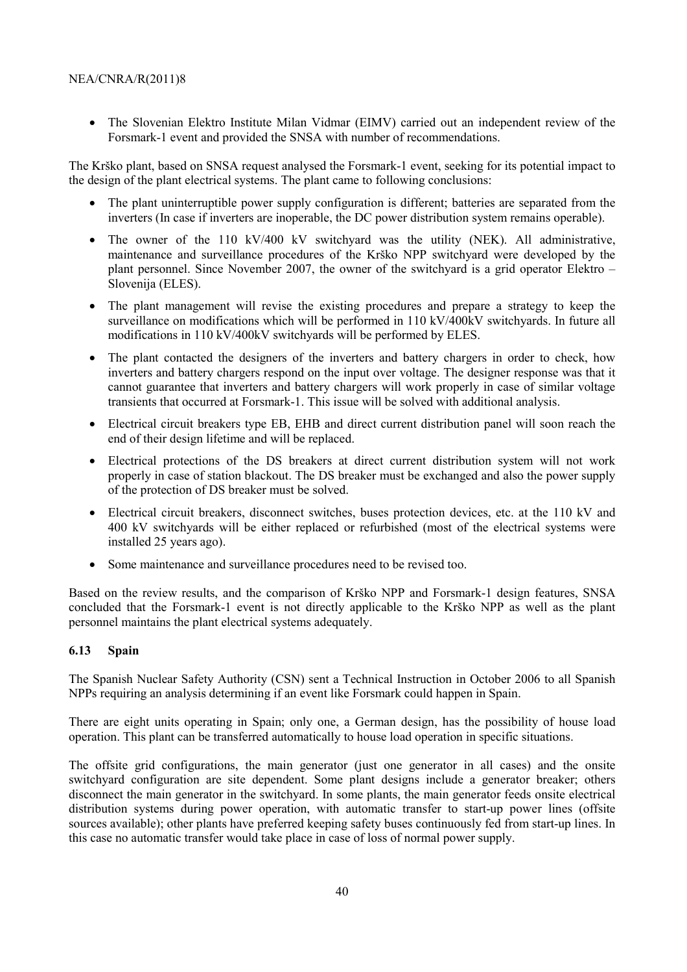• The Slovenian Elektro Institute Milan Vidmar (EIMV) carried out an independent review of the Forsmark-1 event and provided the SNSA with number of recommendations.

The Krško plant, based on SNSA request analysed the Forsmark-1 event, seeking for its potential impact to the design of the plant electrical systems. The plant came to following conclusions:

- The plant uninterruptible power supply configuration is different; batteries are separated from the inverters (In case if inverters are inoperable, the DC power distribution system remains operable).
- The owner of the 110 kV/400 kV switchyard was the utility (NEK). All administrative, maintenance and surveillance procedures of the Krško NPP switchyard were developed by the plant personnel. Since November 2007, the owner of the switchyard is a grid operator Elektro – Slovenija (ELES).
- The plant management will revise the existing procedures and prepare a strategy to keep the surveillance on modifications which will be performed in 110 kV/400kV switchyards. In future all modifications in 110 kV/400kV switchyards will be performed by ELES.
- The plant contacted the designers of the inverters and battery chargers in order to check, how inverters and battery chargers respond on the input over voltage. The designer response was that it cannot guarantee that inverters and battery chargers will work properly in case of similar voltage transients that occurred at Forsmark-1. This issue will be solved with additional analysis.
- Electrical circuit breakers type EB, EHB and direct current distribution panel will soon reach the end of their design lifetime and will be replaced.
- Electrical protections of the DS breakers at direct current distribution system will not work properly in case of station blackout. The DS breaker must be exchanged and also the power supply of the protection of DS breaker must be solved.
- Electrical circuit breakers, disconnect switches, buses protection devices, etc. at the 110 kV and 400 kV switchyards will be either replaced or refurbished (most of the electrical systems were installed 25 years ago).
- Some maintenance and surveillance procedures need to be revised too.

Based on the review results, and the comparison of Krško NPP and Forsmark-1 design features, SNSA concluded that the Forsmark-1 event is not directly applicable to the Krško NPP as well as the plant personnel maintains the plant electrical systems adequately.

#### **6.13 Spain**

The Spanish Nuclear Safety Authority (CSN) sent a Technical Instruction in October 2006 to all Spanish NPPs requiring an analysis determining if an event like Forsmark could happen in Spain.

There are eight units operating in Spain; only one, a German design, has the possibility of house load operation. This plant can be transferred automatically to house load operation in specific situations.

The offsite grid configurations, the main generator (just one generator in all cases) and the onsite switchyard configuration are site dependent. Some plant designs include a generator breaker; others disconnect the main generator in the switchyard. In some plants, the main generator feeds onsite electrical distribution systems during power operation, with automatic transfer to start-up power lines (offsite sources available); other plants have preferred keeping safety buses continuously fed from start-up lines. In this case no automatic transfer would take place in case of loss of normal power supply.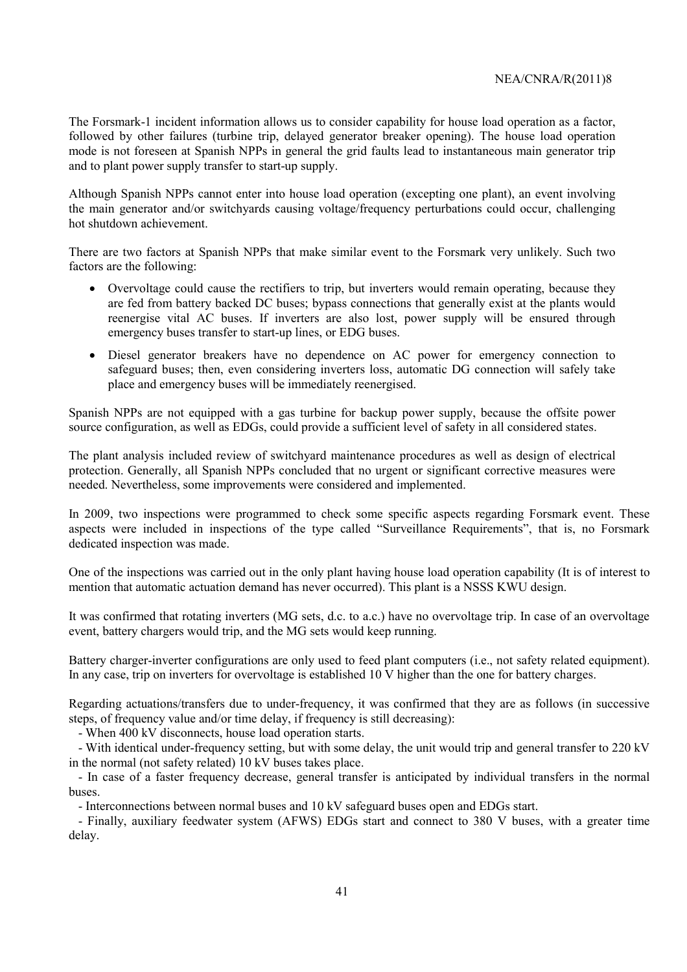The Forsmark-1 incident information allows us to consider capability for house load operation as a factor, followed by other failures (turbine trip, delayed generator breaker opening). The house load operation mode is not foreseen at Spanish NPPs in general the grid faults lead to instantaneous main generator trip and to plant power supply transfer to start-up supply.

Although Spanish NPPs cannot enter into house load operation (excepting one plant), an event involving the main generator and/or switchyards causing voltage/frequency perturbations could occur, challenging hot shutdown achievement.

There are two factors at Spanish NPPs that make similar event to the Forsmark very unlikely. Such two factors are the following:

- Overvoltage could cause the rectifiers to trip, but inverters would remain operating, because they are fed from battery backed DC buses; bypass connections that generally exist at the plants would reenergise vital AC buses. If inverters are also lost, power supply will be ensured through emergency buses transfer to start-up lines, or EDG buses.
- Diesel generator breakers have no dependence on AC power for emergency connection to safeguard buses; then, even considering inverters loss, automatic DG connection will safely take place and emergency buses will be immediately reenergised.

Spanish NPPs are not equipped with a gas turbine for backup power supply, because the offsite power source configuration, as well as EDGs, could provide a sufficient level of safety in all considered states.

The plant analysis included review of switchyard maintenance procedures as well as design of electrical protection. Generally, all Spanish NPPs concluded that no urgent or significant corrective measures were needed. Nevertheless, some improvements were considered and implemented.

In 2009, two inspections were programmed to check some specific aspects regarding Forsmark event. These aspects were included in inspections of the type called "Surveillance Requirements", that is, no Forsmark dedicated inspection was made.

One of the inspections was carried out in the only plant having house load operation capability (It is of interest to mention that automatic actuation demand has never occurred). This plant is a NSSS KWU design.

It was confirmed that rotating inverters (MG sets, d.c. to a.c.) have no overvoltage trip. In case of an overvoltage event, battery chargers would trip, and the MG sets would keep running.

Battery charger-inverter configurations are only used to feed plant computers (i.e., not safety related equipment). In any case, trip on inverters for overvoltage is established 10 V higher than the one for battery charges.

Regarding actuations/transfers due to under-frequency, it was confirmed that they are as follows (in successive steps, of frequency value and/or time delay, if frequency is still decreasing):

- When 400 kV disconnects, house load operation starts.

 - With identical under-frequency setting, but with some delay, the unit would trip and general transfer to 220 kV in the normal (not safety related) 10 kV buses takes place.

 - In case of a faster frequency decrease, general transfer is anticipated by individual transfers in the normal buses.

- Interconnections between normal buses and 10 kV safeguard buses open and EDGs start.

 - Finally, auxiliary feedwater system (AFWS) EDGs start and connect to 380 V buses, with a greater time delay.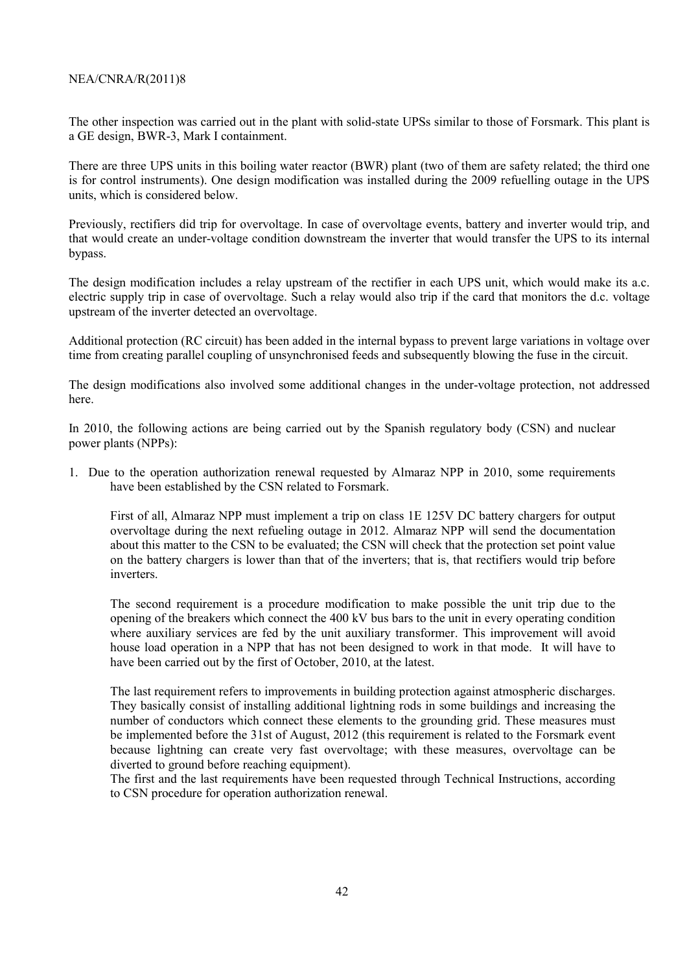The other inspection was carried out in the plant with solid-state UPSs similar to those of Forsmark. This plant is a GE design, BWR-3, Mark I containment.

There are three UPS units in this boiling water reactor (BWR) plant (two of them are safety related; the third one is for control instruments). One design modification was installed during the 2009 refuelling outage in the UPS units, which is considered below.

Previously, rectifiers did trip for overvoltage. In case of overvoltage events, battery and inverter would trip, and that would create an under-voltage condition downstream the inverter that would transfer the UPS to its internal bypass.

The design modification includes a relay upstream of the rectifier in each UPS unit, which would make its a.c. electric supply trip in case of overvoltage. Such a relay would also trip if the card that monitors the d.c. voltage upstream of the inverter detected an overvoltage.

Additional protection (RC circuit) has been added in the internal bypass to prevent large variations in voltage over time from creating parallel coupling of unsynchronised feeds and subsequently blowing the fuse in the circuit.

The design modifications also involved some additional changes in the under-voltage protection, not addressed here.

In 2010, the following actions are being carried out by the Spanish regulatory body (CSN) and nuclear power plants (NPPs):

1. Due to the operation authorization renewal requested by Almaraz NPP in 2010, some requirements have been established by the CSN related to Forsmark.

First of all, Almaraz NPP must implement a trip on class 1E 125V DC battery chargers for output overvoltage during the next refueling outage in 2012. Almaraz NPP will send the documentation about this matter to the CSN to be evaluated; the CSN will check that the protection set point value on the battery chargers is lower than that of the inverters; that is, that rectifiers would trip before inverters.

The second requirement is a procedure modification to make possible the unit trip due to the opening of the breakers which connect the 400 kV bus bars to the unit in every operating condition where auxiliary services are fed by the unit auxiliary transformer. This improvement will avoid house load operation in a NPP that has not been designed to work in that mode. It will have to have been carried out by the first of October, 2010, at the latest.

The last requirement refers to improvements in building protection against atmospheric discharges. They basically consist of installing additional lightning rods in some buildings and increasing the number of conductors which connect these elements to the grounding grid. These measures must be implemented before the 31st of August, 2012 (this requirement is related to the Forsmark event because lightning can create very fast overvoltage; with these measures, overvoltage can be diverted to ground before reaching equipment).

The first and the last requirements have been requested through Technical Instructions, according to CSN procedure for operation authorization renewal.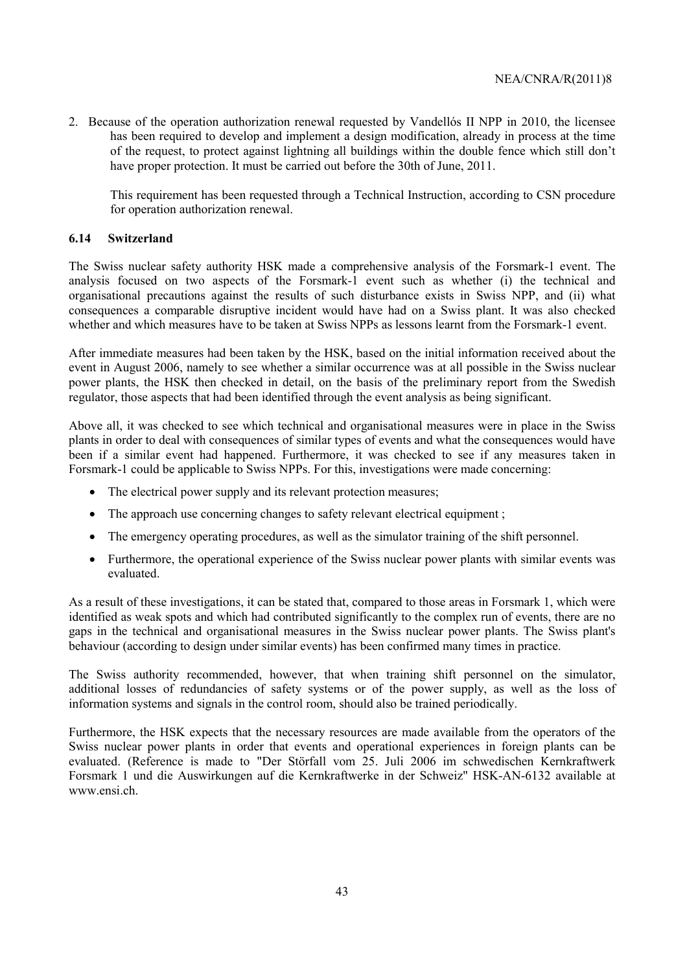2. Because of the operation authorization renewal requested by Vandellós II NPP in 2010, the licensee has been required to develop and implement a design modification, already in process at the time of the request, to protect against lightning all buildings within the double fence which still don't have proper protection. It must be carried out before the 30th of June, 2011.

This requirement has been requested through a Technical Instruction, according to CSN procedure for operation authorization renewal.

#### **6.14 Switzerland**

The Swiss nuclear safety authority HSK made a comprehensive analysis of the Forsmark-1 event. The analysis focused on two aspects of the Forsmark-1 event such as whether (i) the technical and organisational precautions against the results of such disturbance exists in Swiss NPP, and (ii) what consequences a comparable disruptive incident would have had on a Swiss plant. It was also checked whether and which measures have to be taken at Swiss NPPs as lessons learnt from the Forsmark-1 event.

After immediate measures had been taken by the HSK, based on the initial information received about the event in August 2006, namely to see whether a similar occurrence was at all possible in the Swiss nuclear power plants, the HSK then checked in detail, on the basis of the preliminary report from the Swedish regulator, those aspects that had been identified through the event analysis as being significant.

Above all, it was checked to see which technical and organisational measures were in place in the Swiss plants in order to deal with consequences of similar types of events and what the consequences would have been if a similar event had happened. Furthermore, it was checked to see if any measures taken in Forsmark-1 could be applicable to Swiss NPPs. For this, investigations were made concerning:

- The electrical power supply and its relevant protection measures;
- The approach use concerning changes to safety relevant electrical equipment;
- The emergency operating procedures, as well as the simulator training of the shift personnel.
- Furthermore, the operational experience of the Swiss nuclear power plants with similar events was evaluated.

As a result of these investigations, it can be stated that, compared to those areas in Forsmark 1, which were identified as weak spots and which had contributed significantly to the complex run of events, there are no gaps in the technical and organisational measures in the Swiss nuclear power plants. The Swiss plant's behaviour (according to design under similar events) has been confirmed many times in practice.

The Swiss authority recommended, however, that when training shift personnel on the simulator, additional losses of redundancies of safety systems or of the power supply, as well as the loss of information systems and signals in the control room, should also be trained periodically.

Furthermore, the HSK expects that the necessary resources are made available from the operators of the Swiss nuclear power plants in order that events and operational experiences in foreign plants can be evaluated. (Reference is made to "Der Störfall vom 25. Juli 2006 im schwedischen Kernkraftwerk Forsmark 1 und die Auswirkungen auf die Kernkraftwerke in der Schweiz" HSK-AN-6132 available at www.ensi.ch.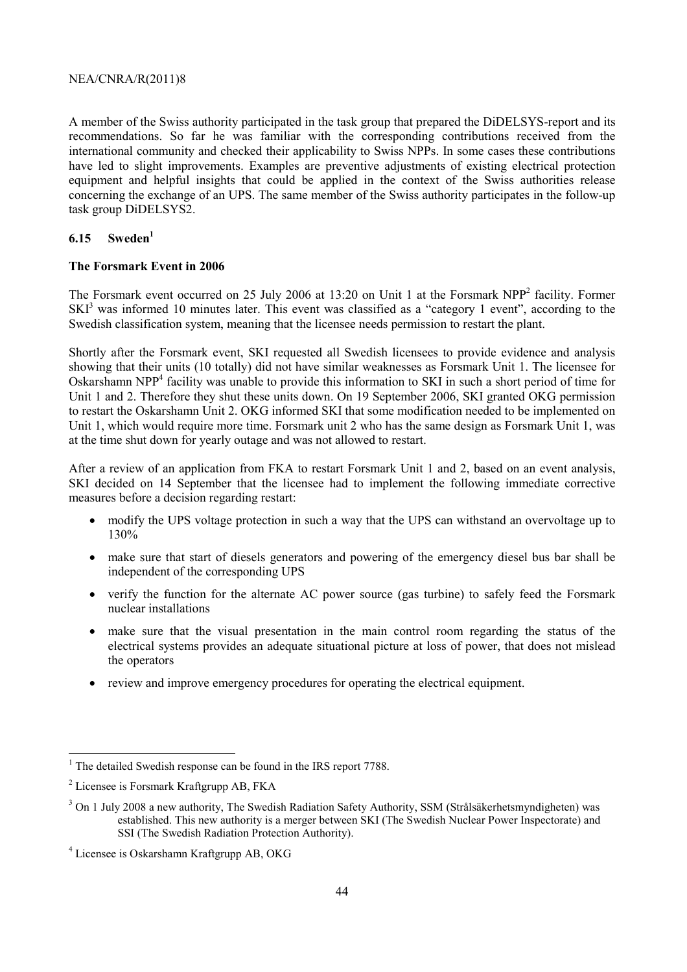A member of the Swiss authority participated in the task group that prepared the DiDELSYS-report and its recommendations. So far he was familiar with the corresponding contributions received from the international community and checked their applicability to Swiss NPPs. In some cases these contributions have led to slight improvements. Examples are preventive adjustments of existing electrical protection equipment and helpful insights that could be applied in the context of the Swiss authorities release concerning the exchange of an UPS. The same member of the Swiss authority participates in the follow-up task group DiDELSYS2.

# **6.15 Sweden1**

#### **The Forsmark Event in 2006**

The Forsmark event occurred on 25 July 2006 at 13:20 on Unit 1 at the Forsmark NPP<sup>2</sup> facility. Former  $SKI<sup>3</sup>$  was informed 10 minutes later. This event was classified as a "category 1 event", according to the Swedish classification system, meaning that the licensee needs permission to restart the plant.

Shortly after the Forsmark event, SKI requested all Swedish licensees to provide evidence and analysis showing that their units (10 totally) did not have similar weaknesses as Forsmark Unit 1. The licensee for Oskarshamn NPP<sup>4</sup> facility was unable to provide this information to SKI in such a short period of time for Unit 1 and 2. Therefore they shut these units down. On 19 September 2006, SKI granted OKG permission to restart the Oskarshamn Unit 2. OKG informed SKI that some modification needed to be implemented on Unit 1, which would require more time. Forsmark unit 2 who has the same design as Forsmark Unit 1, was at the time shut down for yearly outage and was not allowed to restart.

After a review of an application from FKA to restart Forsmark Unit 1 and 2, based on an event analysis, SKI decided on 14 September that the licensee had to implement the following immediate corrective measures before a decision regarding restart:

- modify the UPS voltage protection in such a way that the UPS can withstand an overvoltage up to 130%
- make sure that start of diesels generators and powering of the emergency diesel bus bar shall be independent of the corresponding UPS
- verify the function for the alternate AC power source (gas turbine) to safely feed the Forsmark nuclear installations
- make sure that the visual presentation in the main control room regarding the status of the electrical systems provides an adequate situational picture at loss of power, that does not mislead the operators
- review and improve emergency procedures for operating the electrical equipment.

 $\overline{a}$ 

<sup>&</sup>lt;sup>1</sup> The detailed Swedish response can be found in the IRS report 7788.

<sup>&</sup>lt;sup>2</sup> Licensee is Forsmark Kraftgrupp AB, FKA

<sup>&</sup>lt;sup>3</sup> On 1 July 2008 a new authority, The Swedish Radiation Safety Authority, SSM (Strålsäkerhetsmyndigheten) was established. This new authority is a merger between SKI (The Swedish Nuclear Power Inspectorate) and SSI (The Swedish Radiation Protection Authority).

<sup>4</sup> Licensee is Oskarshamn Kraftgrupp AB, OKG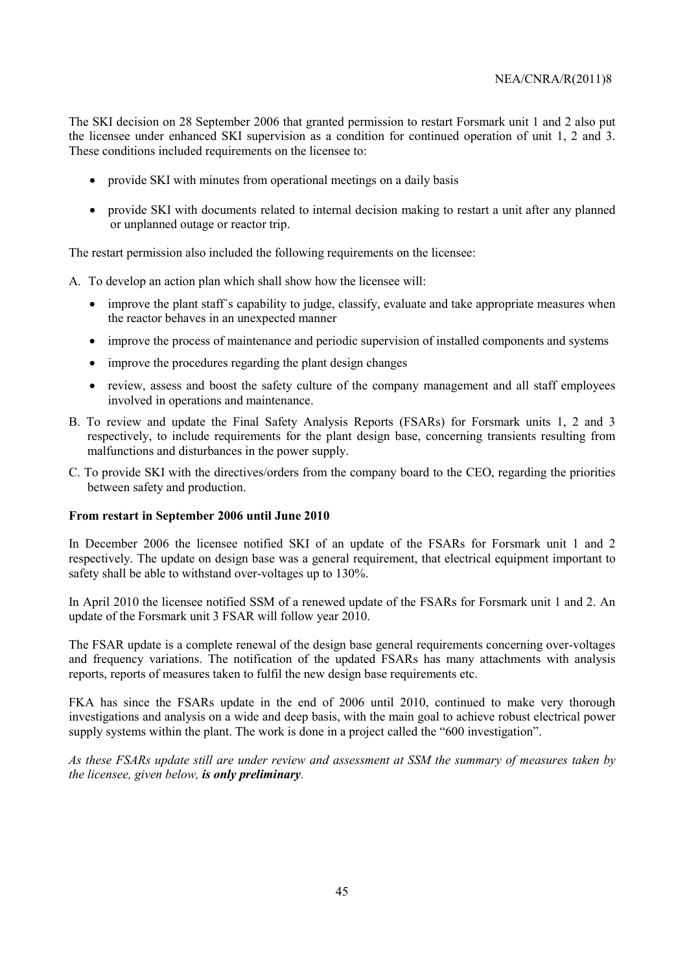The SKI decision on 28 September 2006 that granted permission to restart Forsmark unit 1 and 2 also put the licensee under enhanced SKI supervision as a condition for continued operation of unit 1, 2 and 3. These conditions included requirements on the licensee to:

- provide SKI with minutes from operational meetings on a daily basis
- provide SKI with documents related to internal decision making to restart a unit after any planned or unplanned outage or reactor trip.

The restart permission also included the following requirements on the licensee:

- A. To develop an action plan which shall show how the licensee will:
	- improve the plant staff's capability to judge, classify, evaluate and take appropriate measures when the reactor behaves in an unexpected manner
	- improve the process of maintenance and periodic supervision of installed components and systems
	- improve the procedures regarding the plant design changes
	- review, assess and boost the safety culture of the company management and all staff employees involved in operations and maintenance.
- B. To review and update the Final Safety Analysis Reports (FSARs) for Forsmark units 1, 2 and 3 respectively, to include requirements for the plant design base, concerning transients resulting from malfunctions and disturbances in the power supply.
- C. To provide SKI with the directives/orders from the company board to the CEO, regarding the priorities between safety and production.

#### **From restart in September 2006 until June 2010**

In December 2006 the licensee notified SKI of an update of the FSARs for Forsmark unit 1 and 2 respectively. The update on design base was a general requirement, that electrical equipment important to safety shall be able to withstand over-voltages up to 130%.

In April 2010 the licensee notified SSM of a renewed update of the FSARs for Forsmark unit 1 and 2. An update of the Forsmark unit 3 FSAR will follow year 2010.

The FSAR update is a complete renewal of the design base general requirements concerning over-voltages and frequency variations. The notification of the updated FSARs has many attachments with analysis reports, reports of measures taken to fulfil the new design base requirements etc.

FKA has since the FSARs update in the end of 2006 until 2010, continued to make very thorough investigations and analysis on a wide and deep basis, with the main goal to achieve robust electrical power supply systems within the plant. The work is done in a project called the "600 investigation".

*As these FSARs update still are under review and assessment at SSM the summary of measures taken by the licensee, given below, is only preliminary.*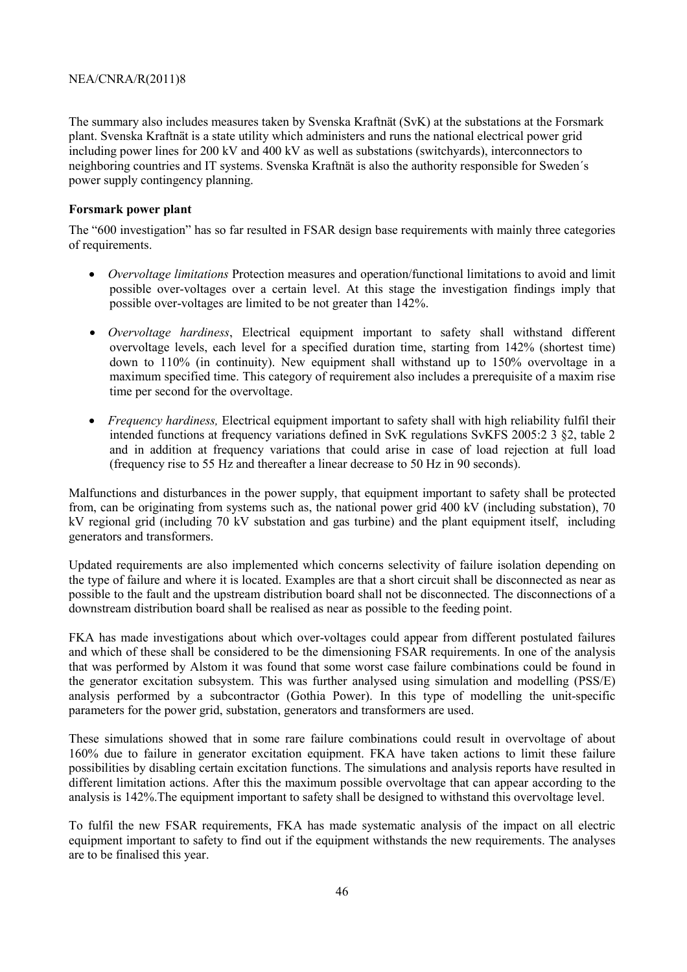The summary also includes measures taken by Svenska Kraftnät (SvK) at the substations at the Forsmark plant. Svenska Kraftnät is a state utility which administers and runs the national electrical power grid including power lines for 200 kV and 400 kV as well as substations (switchyards), interconnectors to neighboring countries and IT systems. Svenska Kraftnät is also the authority responsible for Sweden´s power supply contingency planning.

#### **Forsmark power plant**

The "600 investigation" has so far resulted in FSAR design base requirements with mainly three categories of requirements.

- *Overvoltage limitations* Protection measures and operation/functional limitations to avoid and limit possible over-voltages over a certain level. At this stage the investigation findings imply that possible over-voltages are limited to be not greater than 142%.
- *Overvoltage hardiness*, Electrical equipment important to safety shall withstand different overvoltage levels, each level for a specified duration time, starting from 142% (shortest time) down to 110% (in continuity). New equipment shall withstand up to 150% overvoltage in a maximum specified time. This category of requirement also includes a prerequisite of a maxim rise time per second for the overvoltage.
- *Frequency hardiness*, Electrical equipment important to safety shall with high reliability fulfil their intended functions at frequency variations defined in SvK regulations SvKFS 2005:2 3 §2, table 2 and in addition at frequency variations that could arise in case of load rejection at full load (frequency rise to 55 Hz and thereafter a linear decrease to 50 Hz in 90 seconds).

Malfunctions and disturbances in the power supply, that equipment important to safety shall be protected from, can be originating from systems such as, the national power grid 400 kV (including substation), 70 kV regional grid (including 70 kV substation and gas turbine) and the plant equipment itself, including generators and transformers.

Updated requirements are also implemented which concerns selectivity of failure isolation depending on the type of failure and where it is located. Examples are that a short circuit shall be disconnected as near as possible to the fault and the upstream distribution board shall not be disconnected. The disconnections of a downstream distribution board shall be realised as near as possible to the feeding point.

FKA has made investigations about which over-voltages could appear from different postulated failures and which of these shall be considered to be the dimensioning FSAR requirements. In one of the analysis that was performed by Alstom it was found that some worst case failure combinations could be found in the generator excitation subsystem. This was further analysed using simulation and modelling (PSS/E) analysis performed by a subcontractor (Gothia Power). In this type of modelling the unit-specific parameters for the power grid, substation, generators and transformers are used.

These simulations showed that in some rare failure combinations could result in overvoltage of about 160% due to failure in generator excitation equipment. FKA have taken actions to limit these failure possibilities by disabling certain excitation functions. The simulations and analysis reports have resulted in different limitation actions. After this the maximum possible overvoltage that can appear according to the analysis is 142%.The equipment important to safety shall be designed to withstand this overvoltage level.

To fulfil the new FSAR requirements, FKA has made systematic analysis of the impact on all electric equipment important to safety to find out if the equipment withstands the new requirements. The analyses are to be finalised this year.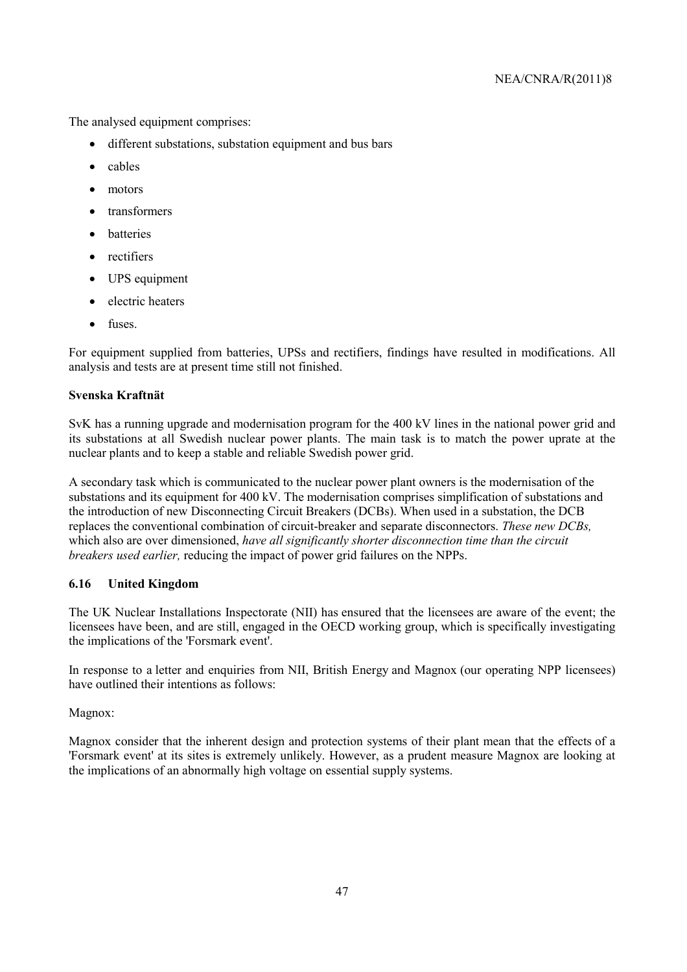The analysed equipment comprises:

- different substations, substation equipment and bus bars
- cables
- motors
- transformers
- **batteries**
- rectifiers
- UPS equipment
- electric heaters
- fuses.

For equipment supplied from batteries, UPSs and rectifiers, findings have resulted in modifications. All analysis and tests are at present time still not finished.

#### **Svenska Kraftnät**

SvK has a running upgrade and modernisation program for the 400 kV lines in the national power grid and its substations at all Swedish nuclear power plants. The main task is to match the power uprate at the nuclear plants and to keep a stable and reliable Swedish power grid.

A secondary task which is communicated to the nuclear power plant owners is the modernisation of the substations and its equipment for 400 kV. The modernisation comprises simplification of substations and the introduction of new Disconnecting Circuit Breakers (DCBs). When used in a substation, the DCB replaces the conventional combination of circuit-breaker and separate disconnectors. *These new DCBs,*  which also are over dimensioned, *have all significantly shorter disconnection time than the circuit breakers used earlier,* reducing the impact of power grid failures on the NPPs.

#### **6.16 United Kingdom**

The UK Nuclear Installations Inspectorate (NII) has ensured that the licensees are aware of the event; the licensees have been, and are still, engaged in the OECD working group, which is specifically investigating the implications of the 'Forsmark event'.

In response to a letter and enquiries from NII, British Energy and Magnox (our operating NPP licensees) have outlined their intentions as follows:

Magnox:

Magnox consider that the inherent design and protection systems of their plant mean that the effects of a 'Forsmark event' at its sites is extremely unlikely. However, as a prudent measure Magnox are looking at the implications of an abnormally high voltage on essential supply systems.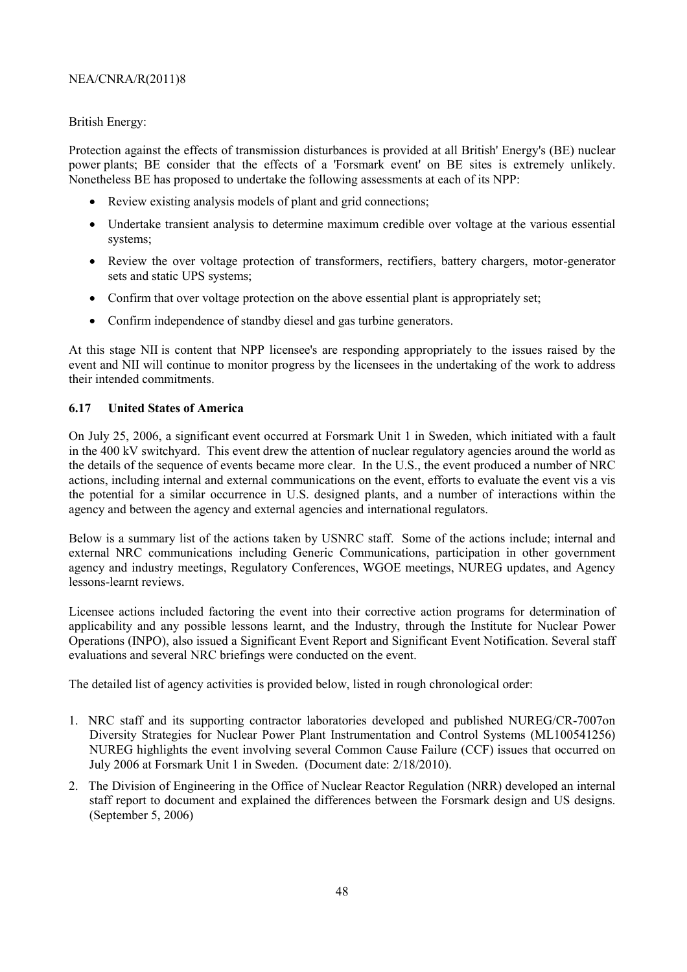# British Energy:

Protection against the effects of transmission disturbances is provided at all British' Energy's (BE) nuclear power plants; BE consider that the effects of a 'Forsmark event' on BE sites is extremely unlikely. Nonetheless BE has proposed to undertake the following assessments at each of its NPP:

- Review existing analysis models of plant and grid connections;
- Undertake transient analysis to determine maximum credible over voltage at the various essential systems;
- Review the over voltage protection of transformers, rectifiers, battery chargers, motor-generator sets and static UPS systems;
- Confirm that over voltage protection on the above essential plant is appropriately set;
- Confirm independence of standby diesel and gas turbine generators.

At this stage NII is content that NPP licensee's are responding appropriately to the issues raised by the event and NII will continue to monitor progress by the licensees in the undertaking of the work to address their intended commitments.

# **6.17 United States of America**

On July 25, 2006, a significant event occurred at Forsmark Unit 1 in Sweden, which initiated with a fault in the 400 kV switchyard. This event drew the attention of nuclear regulatory agencies around the world as the details of the sequence of events became more clear. In the U.S., the event produced a number of NRC actions, including internal and external communications on the event, efforts to evaluate the event vis a vis the potential for a similar occurrence in U.S. designed plants, and a number of interactions within the agency and between the agency and external agencies and international regulators.

Below is a summary list of the actions taken by USNRC staff. Some of the actions include; internal and external NRC communications including Generic Communications, participation in other government agency and industry meetings, Regulatory Conferences, WGOE meetings, NUREG updates, and Agency lessons-learnt reviews.

Licensee actions included factoring the event into their corrective action programs for determination of applicability and any possible lessons learnt, and the Industry, through the Institute for Nuclear Power Operations (INPO), also issued a Significant Event Report and Significant Event Notification. Several staff evaluations and several NRC briefings were conducted on the event.

The detailed list of agency activities is provided below, listed in rough chronological order:

- 1. NRC staff and its supporting contractor laboratories developed and published NUREG/CR-7007on Diversity Strategies for Nuclear Power Plant Instrumentation and Control Systems (ML100541256) NUREG highlights the event involving several Common Cause Failure (CCF) issues that occurred on July 2006 at Forsmark Unit 1 in Sweden. (Document date: 2/18/2010).
- 2. The Division of Engineering in the Office of Nuclear Reactor Regulation (NRR) developed an internal staff report to document and explained the differences between the Forsmark design and US designs. (September 5, 2006)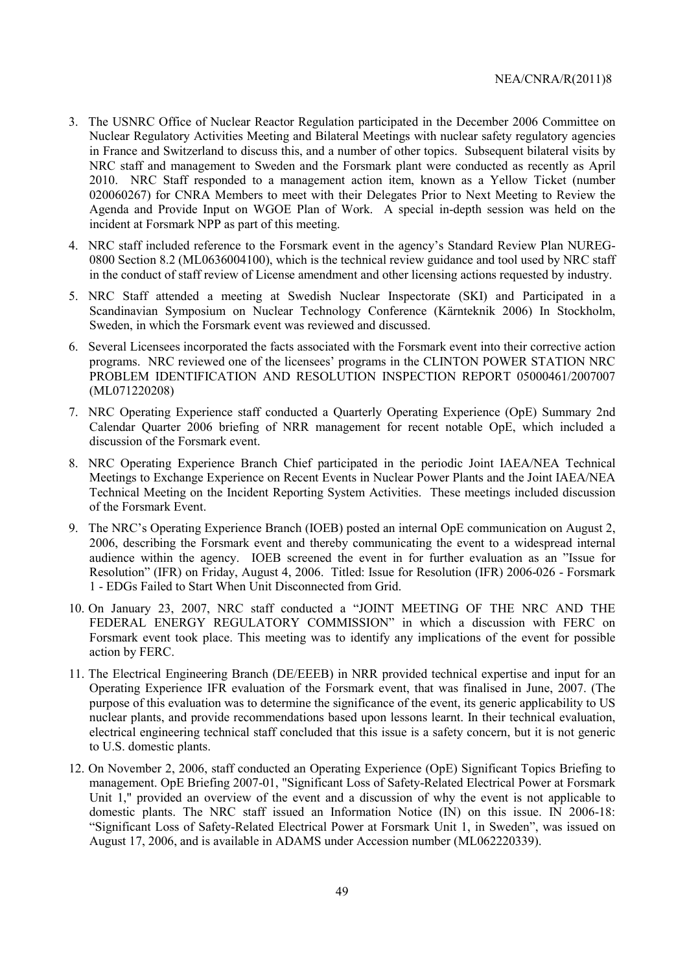- 3. The USNRC Office of Nuclear Reactor Regulation participated in the December 2006 Committee on Nuclear Regulatory Activities Meeting and Bilateral Meetings with nuclear safety regulatory agencies in France and Switzerland to discuss this, and a number of other topics. Subsequent bilateral visits by NRC staff and management to Sweden and the Forsmark plant were conducted as recently as April 2010. NRC Staff responded to a management action item, known as a Yellow Ticket (number 020060267) for CNRA Members to meet with their Delegates Prior to Next Meeting to Review the Agenda and Provide Input on WGOE Plan of Work. A special in-depth session was held on the incident at Forsmark NPP as part of this meeting.
- 4. NRC staff included reference to the Forsmark event in the agency's Standard Review Plan NUREG-0800 Section 8.2 (ML0636004100), which is the technical review guidance and tool used by NRC staff in the conduct of staff review of License amendment and other licensing actions requested by industry.
- 5. NRC Staff attended a meeting at Swedish Nuclear Inspectorate (SKI) and Participated in a Scandinavian Symposium on Nuclear Technology Conference (Kärnteknik 2006) In Stockholm, Sweden, in which the Forsmark event was reviewed and discussed.
- 6. Several Licensees incorporated the facts associated with the Forsmark event into their corrective action programs. NRC reviewed one of the licensees' programs in the CLINTON POWER STATION NRC PROBLEM IDENTIFICATION AND RESOLUTION INSPECTION REPORT 05000461/2007007 (ML071220208)
- 7. NRC Operating Experience staff conducted a Quarterly Operating Experience (OpE) Summary 2nd Calendar Quarter 2006 briefing of NRR management for recent notable OpE, which included a discussion of the Forsmark event.
- 8. NRC Operating Experience Branch Chief participated in the periodic Joint IAEA/NEA Technical Meetings to Exchange Experience on Recent Events in Nuclear Power Plants and the Joint IAEA/NEA Technical Meeting on the Incident Reporting System Activities. These meetings included discussion of the Forsmark Event.
- 9. The NRC's Operating Experience Branch (IOEB) posted an internal OpE communication on August 2, 2006, describing the Forsmark event and thereby communicating the event to a widespread internal audience within the agency. IOEB screened the event in for further evaluation as an "Issue for Resolution" (IFR) on Friday, August 4, 2006. Titled: Issue for Resolution (IFR) 2006-026 - Forsmark 1 - EDGs Failed to Start When Unit Disconnected from Grid.
- 10. On January 23, 2007, NRC staff conducted a "JOINT MEETING OF THE NRC AND THE FEDERAL ENERGY REGULATORY COMMISSION" in which a discussion with FERC on Forsmark event took place. This meeting was to identify any implications of the event for possible action by FERC.
- 11. The Electrical Engineering Branch (DE/EEEB) in NRR provided technical expertise and input for an Operating Experience IFR evaluation of the Forsmark event, that was finalised in June, 2007. (The purpose of this evaluation was to determine the significance of the event, its generic applicability to US nuclear plants, and provide recommendations based upon lessons learnt. In their technical evaluation, electrical engineering technical staff concluded that this issue is a safety concern, but it is not generic to U.S. domestic plants.
- 12. On November 2, 2006, staff conducted an Operating Experience (OpE) Significant Topics Briefing to management. OpE Briefing 2007-01, "Significant Loss of Safety-Related Electrical Power at Forsmark Unit 1," provided an overview of the event and a discussion of why the event is not applicable to domestic plants. The NRC staff issued an Information Notice (IN) on this issue. IN 2006-18: "Significant Loss of Safety-Related Electrical Power at Forsmark Unit 1, in Sweden", was issued on August 17, 2006, and is available in ADAMS under Accession number (ML062220339).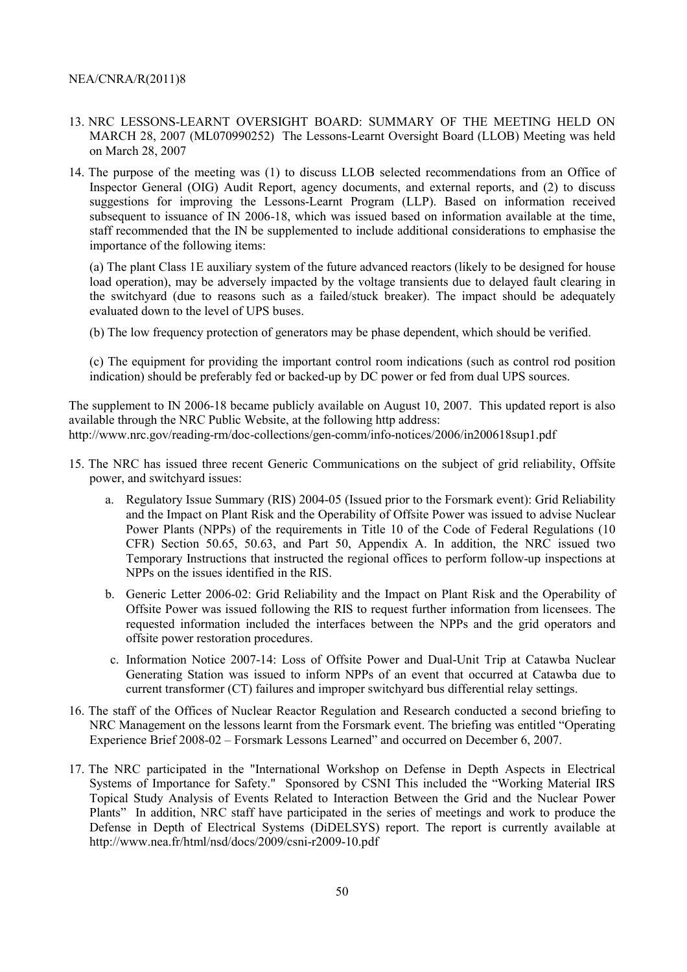- 13. NRC LESSONS-LEARNT OVERSIGHT BOARD: SUMMARY OF THE MEETING HELD ON MARCH 28, 2007 (ML070990252) The Lessons-Learnt Oversight Board (LLOB) Meeting was held on March 28, 2007
- 14. The purpose of the meeting was (1) to discuss LLOB selected recommendations from an Office of Inspector General (OIG) Audit Report, agency documents, and external reports, and (2) to discuss suggestions for improving the Lessons-Learnt Program (LLP). Based on information received subsequent to issuance of IN 2006-18, which was issued based on information available at the time, staff recommended that the IN be supplemented to include additional considerations to emphasise the importance of the following items:

(a) The plant Class 1E auxiliary system of the future advanced reactors (likely to be designed for house load operation), may be adversely impacted by the voltage transients due to delayed fault clearing in the switchyard (due to reasons such as a failed/stuck breaker). The impact should be adequately evaluated down to the level of UPS buses.

(b) The low frequency protection of generators may be phase dependent, which should be verified.

(c) The equipment for providing the important control room indications (such as control rod position indication) should be preferably fed or backed-up by DC power or fed from dual UPS sources.

The supplement to IN 2006-18 became publicly available on August 10, 2007. This updated report is also available through the NRC Public Website, at the following http address: http://www.nrc.gov/reading-rm/doc-collections/gen-comm/info-notices/2006/in200618sup1.pdf

- 15. The NRC has issued three recent Generic Communications on the subject of grid reliability, Offsite power, and switchyard issues:
	- a. Regulatory Issue Summary (RIS) 2004-05 (Issued prior to the Forsmark event): Grid Reliability and the Impact on Plant Risk and the Operability of Offsite Power was issued to advise Nuclear Power Plants (NPPs) of the requirements in Title 10 of the Code of Federal Regulations (10 CFR) Section 50.65, 50.63, and Part 50, Appendix A. In addition, the NRC issued two Temporary Instructions that instructed the regional offices to perform follow-up inspections at NPPs on the issues identified in the RIS.
	- b. Generic Letter 2006-02: Grid Reliability and the Impact on Plant Risk and the Operability of Offsite Power was issued following the RIS to request further information from licensees. The requested information included the interfaces between the NPPs and the grid operators and offsite power restoration procedures.
	- c. Information Notice 2007-14: Loss of Offsite Power and Dual-Unit Trip at Catawba Nuclear Generating Station was issued to inform NPPs of an event that occurred at Catawba due to current transformer (CT) failures and improper switchyard bus differential relay settings.
- 16. The staff of the Offices of Nuclear Reactor Regulation and Research conducted a second briefing to NRC Management on the lessons learnt from the Forsmark event. The briefing was entitled "Operating Experience Brief 2008-02 – Forsmark Lessons Learned" and occurred on December 6, 2007.
- 17. The NRC participated in the "International Workshop on Defense in Depth Aspects in Electrical Systems of Importance for Safety." Sponsored by CSNI This included the "Working Material IRS Topical Study Analysis of Events Related to Interaction Between the Grid and the Nuclear Power Plants" In addition, NRC staff have participated in the series of meetings and work to produce the Defense in Depth of Electrical Systems (DiDELSYS) report. The report is currently available at http://www.nea.fr/html/nsd/docs/2009/csni-r2009-10.pdf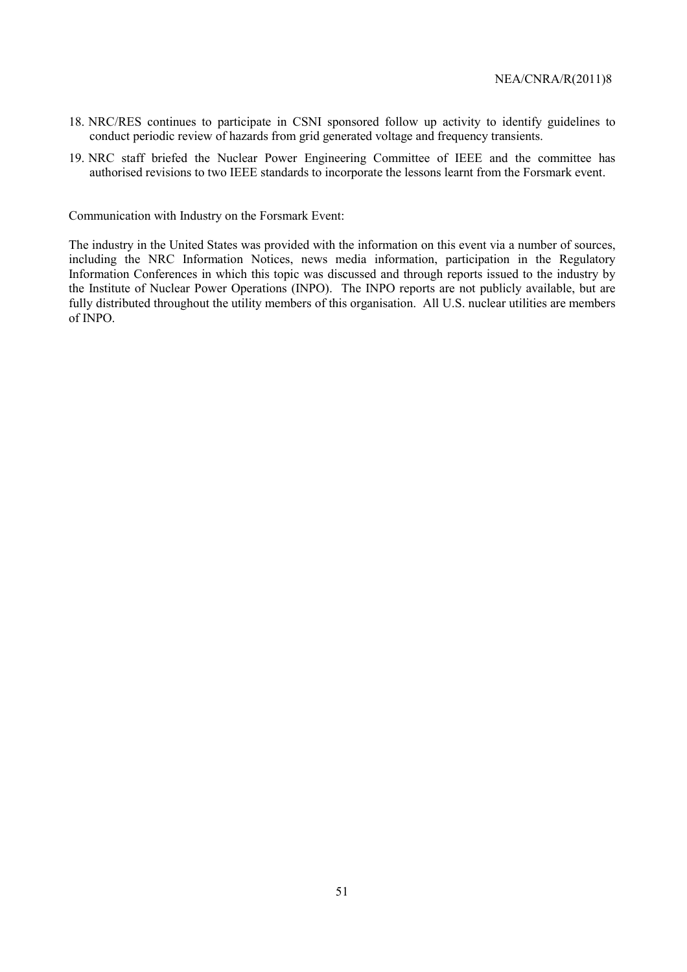- 18. NRC/RES continues to participate in CSNI sponsored follow up activity to identify guidelines to conduct periodic review of hazards from grid generated voltage and frequency transients.
- 19. NRC staff briefed the Nuclear Power Engineering Committee of IEEE and the committee has authorised revisions to two IEEE standards to incorporate the lessons learnt from the Forsmark event.

Communication with Industry on the Forsmark Event:

The industry in the United States was provided with the information on this event via a number of sources, including the NRC Information Notices, news media information, participation in the Regulatory Information Conferences in which this topic was discussed and through reports issued to the industry by the Institute of Nuclear Power Operations (INPO). The INPO reports are not publicly available, but are fully distributed throughout the utility members of this organisation. All U.S. nuclear utilities are members of INPO.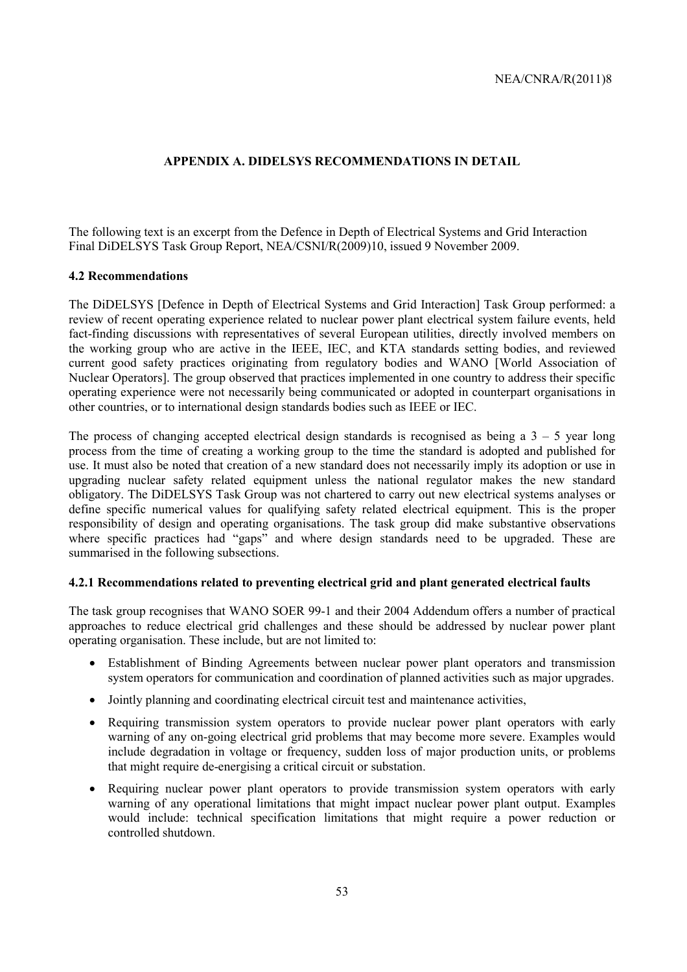#### **APPENDIX A. DIDELSYS RECOMMENDATIONS IN DETAIL**

The following text is an excerpt from the Defence in Depth of Electrical Systems and Grid Interaction Final DiDELSYS Task Group Report, NEA/CSNI/R(2009)10, issued 9 November 2009.

#### **4.2 Recommendations**

The DiDELSYS [Defence in Depth of Electrical Systems and Grid Interaction] Task Group performed: a review of recent operating experience related to nuclear power plant electrical system failure events, held fact-finding discussions with representatives of several European utilities, directly involved members on the working group who are active in the IEEE, IEC, and KTA standards setting bodies, and reviewed current good safety practices originating from regulatory bodies and WANO [World Association of Nuclear Operators]. The group observed that practices implemented in one country to address their specific operating experience were not necessarily being communicated or adopted in counterpart organisations in other countries, or to international design standards bodies such as IEEE or IEC.

The process of changing accepted electrical design standards is recognised as being a  $3 - 5$  year long process from the time of creating a working group to the time the standard is adopted and published for use. It must also be noted that creation of a new standard does not necessarily imply its adoption or use in upgrading nuclear safety related equipment unless the national regulator makes the new standard obligatory. The DiDELSYS Task Group was not chartered to carry out new electrical systems analyses or define specific numerical values for qualifying safety related electrical equipment. This is the proper responsibility of design and operating organisations. The task group did make substantive observations where specific practices had "gaps" and where design standards need to be upgraded. These are summarised in the following subsections.

#### **4.2.1 Recommendations related to preventing electrical grid and plant generated electrical faults**

The task group recognises that WANO SOER 99-1 and their 2004 Addendum offers a number of practical approaches to reduce electrical grid challenges and these should be addressed by nuclear power plant operating organisation. These include, but are not limited to:

- Establishment of Binding Agreements between nuclear power plant operators and transmission system operators for communication and coordination of planned activities such as major upgrades.
- Jointly planning and coordinating electrical circuit test and maintenance activities,
- Requiring transmission system operators to provide nuclear power plant operators with early warning of any on-going electrical grid problems that may become more severe. Examples would include degradation in voltage or frequency, sudden loss of major production units, or problems that might require de-energising a critical circuit or substation.
- Requiring nuclear power plant operators to provide transmission system operators with early warning of any operational limitations that might impact nuclear power plant output. Examples would include: technical specification limitations that might require a power reduction or controlled shutdown.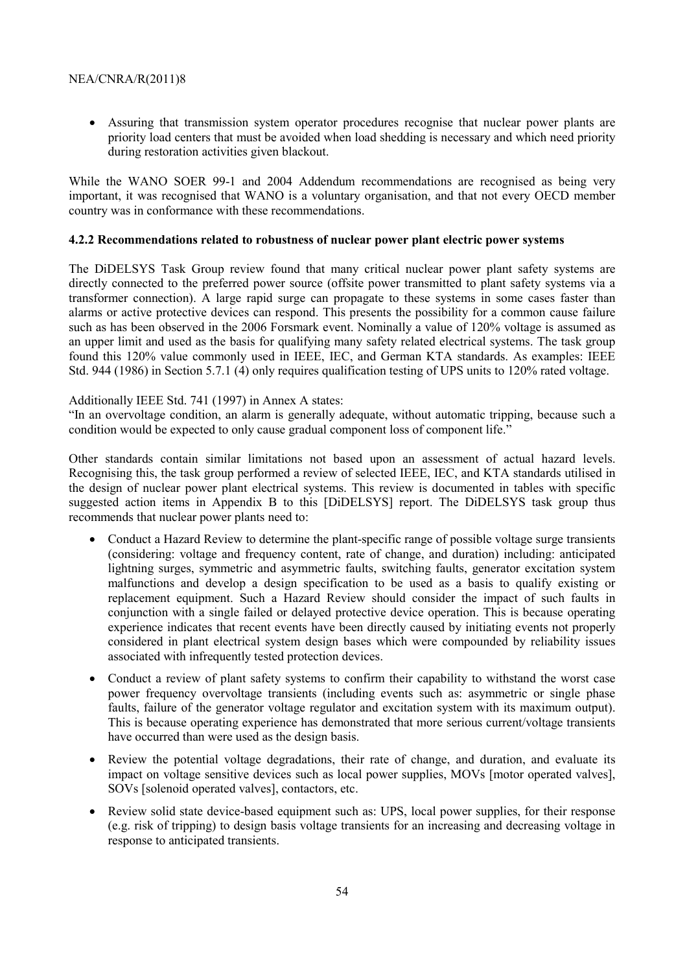• Assuring that transmission system operator procedures recognise that nuclear power plants are priority load centers that must be avoided when load shedding is necessary and which need priority during restoration activities given blackout.

While the WANO SOER 99-1 and 2004 Addendum recommendations are recognised as being very important, it was recognised that WANO is a voluntary organisation, and that not every OECD member country was in conformance with these recommendations.

#### **4.2.2 Recommendations related to robustness of nuclear power plant electric power systems**

The DiDELSYS Task Group review found that many critical nuclear power plant safety systems are directly connected to the preferred power source (offsite power transmitted to plant safety systems via a transformer connection). A large rapid surge can propagate to these systems in some cases faster than alarms or active protective devices can respond. This presents the possibility for a common cause failure such as has been observed in the 2006 Forsmark event. Nominally a value of 120% voltage is assumed as an upper limit and used as the basis for qualifying many safety related electrical systems. The task group found this 120% value commonly used in IEEE, IEC, and German KTA standards. As examples: IEEE Std. 944 (1986) in Section 5.7.1 (4) only requires qualification testing of UPS units to 120% rated voltage.

#### Additionally IEEE Std. 741 (1997) in Annex A states:

"In an overvoltage condition, an alarm is generally adequate, without automatic tripping, because such a condition would be expected to only cause gradual component loss of component life."

Other standards contain similar limitations not based upon an assessment of actual hazard levels. Recognising this, the task group performed a review of selected IEEE, IEC, and KTA standards utilised in the design of nuclear power plant electrical systems. This review is documented in tables with specific suggested action items in Appendix B to this [DiDELSYS] report. The DiDELSYS task group thus recommends that nuclear power plants need to:

- Conduct a Hazard Review to determine the plant-specific range of possible voltage surge transients (considering: voltage and frequency content, rate of change, and duration) including: anticipated lightning surges, symmetric and asymmetric faults, switching faults, generator excitation system malfunctions and develop a design specification to be used as a basis to qualify existing or replacement equipment. Such a Hazard Review should consider the impact of such faults in conjunction with a single failed or delayed protective device operation. This is because operating experience indicates that recent events have been directly caused by initiating events not properly considered in plant electrical system design bases which were compounded by reliability issues associated with infrequently tested protection devices.
- Conduct a review of plant safety systems to confirm their capability to withstand the worst case power frequency overvoltage transients (including events such as: asymmetric or single phase faults, failure of the generator voltage regulator and excitation system with its maximum output). This is because operating experience has demonstrated that more serious current/voltage transients have occurred than were used as the design basis.
- Review the potential voltage degradations, their rate of change, and duration, and evaluate its impact on voltage sensitive devices such as local power supplies, MOVs [motor operated valves], SOVs [solenoid operated valves], contactors, etc.
- Review solid state device-based equipment such as: UPS, local power supplies, for their response (e.g. risk of tripping) to design basis voltage transients for an increasing and decreasing voltage in response to anticipated transients.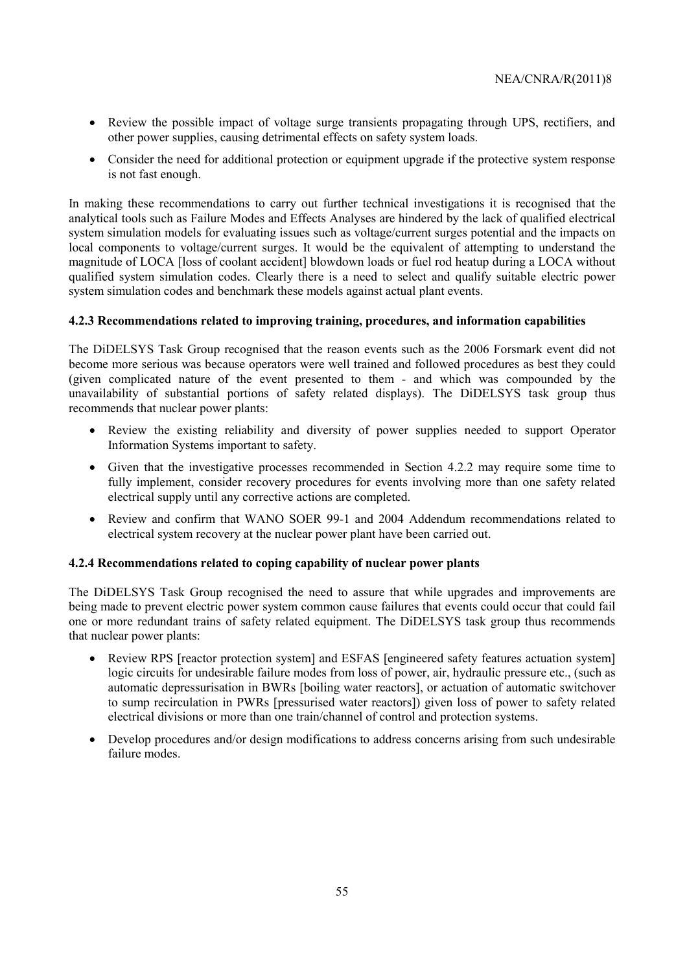- Review the possible impact of voltage surge transients propagating through UPS, rectifiers, and other power supplies, causing detrimental effects on safety system loads.
- Consider the need for additional protection or equipment upgrade if the protective system response is not fast enough.

In making these recommendations to carry out further technical investigations it is recognised that the analytical tools such as Failure Modes and Effects Analyses are hindered by the lack of qualified electrical system simulation models for evaluating issues such as voltage/current surges potential and the impacts on local components to voltage/current surges. It would be the equivalent of attempting to understand the magnitude of LOCA Iloss of coolant accidentl blowdown loads or fuel rod heatup during a LOCA without qualified system simulation codes. Clearly there is a need to select and qualify suitable electric power system simulation codes and benchmark these models against actual plant events.

# **4.2.3 Recommendations related to improving training, procedures, and information capabilities**

The DiDELSYS Task Group recognised that the reason events such as the 2006 Forsmark event did not become more serious was because operators were well trained and followed procedures as best they could (given complicated nature of the event presented to them - and which was compounded by the unavailability of substantial portions of safety related displays). The DiDELSYS task group thus recommends that nuclear power plants:

- Review the existing reliability and diversity of power supplies needed to support Operator Information Systems important to safety.
- Given that the investigative processes recommended in Section 4.2.2 may require some time to fully implement, consider recovery procedures for events involving more than one safety related electrical supply until any corrective actions are completed.
- Review and confirm that WANO SOER 99-1 and 2004 Addendum recommendations related to electrical system recovery at the nuclear power plant have been carried out.

#### **4.2.4 Recommendations related to coping capability of nuclear power plants**

The DiDELSYS Task Group recognised the need to assure that while upgrades and improvements are being made to prevent electric power system common cause failures that events could occur that could fail one or more redundant trains of safety related equipment. The DiDELSYS task group thus recommends that nuclear power plants:

- Review RPS [reactor protection system] and ESFAS [engineered safety features actuation system] logic circuits for undesirable failure modes from loss of power, air, hydraulic pressure etc., (such as automatic depressurisation in BWRs [boiling water reactors], or actuation of automatic switchover to sump recirculation in PWRs [pressurised water reactors]) given loss of power to safety related electrical divisions or more than one train/channel of control and protection systems.
- Develop procedures and/or design modifications to address concerns arising from such undesirable failure modes